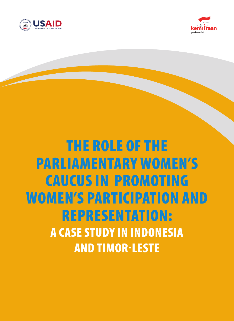



# The Role of the Parliamentary Women's Caucus in Promoting Women's Participation and Representation: A Case Study in Indonesia and Timor-Leste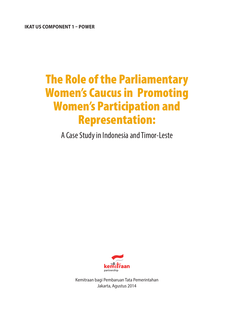**IKAT US COMPONENT 1 – POWER**

## The Role of the Parliamentary Women's Caucus in Promoting Women's Participation and Representation:

A Case Study in Indonesia and Timor-Leste



Kemitraan bagi Pembaruan Tata Pemerintahan Jakarta, Agustus 2014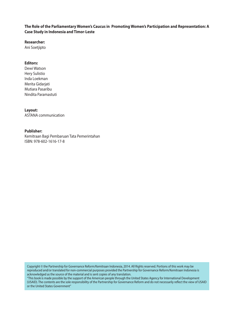#### **The Role of the Parliamentary Women's Caucus in Promoting Women's Participation and Representation: A Case Study in Indonesia and Timor-Leste**

**Researcher:**

Ani Soetjipto

#### **Editors:**

Dewi Watson Hery Sulistio Inda Loekman Merita Gidarjati Mutiara Pasaribu Nindita Paramastuti

#### **Layout:**

ASTANA communication

#### **Publisher:**

Kemitraan Bagi Pembaruan Tata Pemerintahan ISBN: 978-602-1616-17-8

Copyright © the Partnership for Governance Reform/Kemitraan Indonesia, 2014. All Rights reserved. Portions of this work may be reproduced and/or translated for non-commercial purposes provided the Partnership for Governance Reform/Kemitraan Indonesia is acknowledged as the source of the material and is sent copies of any translation.

"This book is made possible by the support of the American people through the United States Agency for International Development (USAID). The contents are the sole responsibility of the Partnership for Governance Reform and do not necessarily reflect the view of USAID or the United States Government"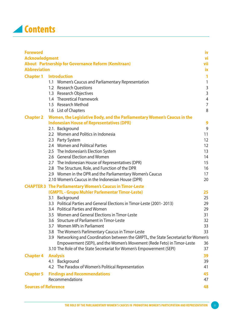

| <b>Foreword</b>             |                                                                                                      | iv                |
|-----------------------------|------------------------------------------------------------------------------------------------------|-------------------|
| <b>Acknowledgment</b>       |                                                                                                      | vi                |
|                             | <b>About Partnership for Governance Reform (Kemitraan)</b>                                           | vii               |
| <b>Abbreviation</b>         |                                                                                                      | <u>іх</u>         |
| <b>Chapter 1</b>            | <b>Introduction</b>                                                                                  | 1                 |
|                             | 1.1 Women's Caucus and Parliamentary Representation                                                  | $\mathbf{1}$      |
|                             | 1.2 Research Questions                                                                               | $\mathsf{3}$      |
|                             | 1.3 Research Objectives                                                                              | $\mathsf{3}$      |
|                             | 1.4 Theoretical Framework                                                                            | $\overline{4}$    |
|                             | 1.5 Research Method                                                                                  | $\overline{7}$    |
|                             | 1.6 List of Chapters                                                                                 | 8                 |
| <b>Chapter 2</b>            | Women, the Legislative Body, and the Parliamentary Women's Caucus in the                             |                   |
|                             | <b>Indonesian House of Representatives (DPR)</b>                                                     | 9                 |
|                             | 2.1. Background                                                                                      | 9                 |
|                             | 2.2 Women and Politics in Indonesia                                                                  | 11                |
|                             | 2.3 Party System                                                                                     | $12 \overline{ }$ |
|                             | 2.4 Women and Political Parties                                                                      | 12                |
|                             | 2.5 The Indonesian's Election System                                                                 | 13                |
|                             | 2.6 General Election and Women                                                                       | 14                |
|                             | 2.7 The Indonesian House of Representatives (DPR)                                                    | 15                |
|                             | 2.8 The Structure, Role, and Function of the DPR                                                     | 16                |
|                             | 2.9 Women in the DPR and the Parliamentary Women's Caucus                                            | 17                |
|                             | 2.10 Women's Caucus in the Indonesian House (DPR)                                                    | 20                |
|                             | <b>CHAPTER 3 The Parliamentary Women's Caucus in Timor-Leste</b>                                     |                   |
|                             | (GMPTL - Grupu Muhler Parlementar Timor-Leste)                                                       | 25                |
|                             | 3.1 Background                                                                                       | 25                |
|                             | 3.3 Political Parties and General Elections in Timor-Leste (2001-2013)                               | 29                |
|                             | 3.4 Political Parties and Women                                                                      | 29                |
|                             | 3.5 Women and General Elections in Timor-Leste                                                       | 31                |
|                             | 3.6 Structure of Parliament in Timor-Leste                                                           | 32                |
|                             | 3.7 Women MPs in Parliament                                                                          | 33                |
|                             | 3.8 The Women's Parlimentary Caucus in Timor-Leste                                                   | 33                |
|                             | Networking and Coordination between the GMPTL, the State Secretariat for Women's<br>3.9 <sup>°</sup> |                   |
|                             | Empowerment (SEPI), and the Women's Movement (Rede Feto) in Timor-Leste                              | 36                |
|                             | 3.10 The Role of the State Secretariat for Women's Empowerment (SEPI)                                | 37                |
| <b>Chapter 4</b>            | <b>Analysis</b>                                                                                      | 39                |
|                             | Background<br>4.1                                                                                    | 39                |
|                             | 4.2 The Paradox of Women's Political Representation                                                  | 41                |
| <b>Chapter 5</b>            | <b>Findings and Recommendations</b>                                                                  | 45                |
|                             | Recommendations                                                                                      | 47                |
| <b>Sources of Reference</b> |                                                                                                      | 48                |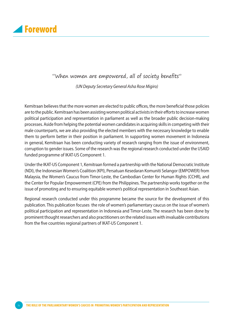

## "When women are empowered, all of society benefits"

*(UN Deputy Secretary General Asha Rose Migiro)*

Kemitraan believes that the more women are elected to public offices, the more beneficial those policies are to the public. Kemitraan has been assisting women political activists in their efforts to increase women political participation and representation in parliament as well as the broader public decision-making processes. Aside from helping the potential women candidates in acquiring skills in competing with their male counterparts, we are also providing the elected members with the necessary knowledge to enable them to perform better in their position in parliament. In supporting women movement in Indonesia in general, Kemitraan has been conducting variety of research ranging from the issue of environment, corruption to gender issues. Some of the research was the regional research conducted under the USAID funded programme of IKAT-US Component 1.

Under the IKAT-US Component 1, Kemitraan formed a partnership with the National Democratic Institute (NDI), the Indonesian Women's Coalition (KPI), Persatuan Kesedaran Komuniti Selangor (EMPOWER) from Malaysia, the Women's Caucus from Timor-Leste, the Cambodian Center for Human Rights (CCHR), and the Center for Popular Empowerment (CPE) from the Philippines. The partnership works together on the issue of promoting and to ensuring equitable women's political representation in Southeast Asian.

Regional research conducted under this programme became the source for the development of this publication. This publication focuses the role of women's parliamentary caucus on the issue of women's political participation and representation in Indonesia and Timor-Leste. The research has been done by prominent thought researchers and also practitioners on the related issues with invaluable contributions from the five countries regional partners of IKAT-US Component 1.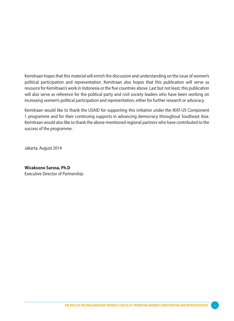Kemitraan hopes that this material will enrich the discussion and understanding on the issue of women's political participation and representation. Kemitraan also hopes that this publication will serve as resource for Kemitraan's work in Indonesia or the five countries above. Last but not least, this publication will also serve as reference for the political party and civil society leaders who have been working on increasing women's political participation and representation, either for further research or advocacy.

Kemitraan would like to thank the USAID for supporting this initiative under the IKAT-US Component 1 programme and for their continuing supports in advancing democracy throughout Southeast Asia. Kemitraan would also like to thank the above-mentioned regional partners who have contributed to the success of the programme.

Jakarta, August 2014

#### **Wicaksono Sarosa, Ph.D** Executive Director of Partnership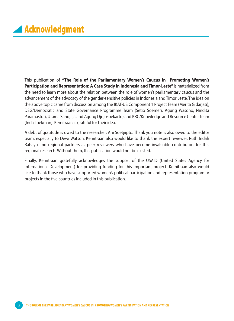This publication of **"The Role of the Parliamentary Women's Caucus in Promoting Women's Participation and Representation: A Case Study in Indonesia and Timor-Leste"** is materialized from the need to learn more about the relation between the role of women's parliamentary caucus and the advancement of the advocacy of the gender-sensitive policies in Indonesia and Timor Leste. The idea on the above topic came from discussion among the IKAT-US Component 1 Project Team (Merita Gidarjati), DSG/Democratic and State Governance Programme Team (Setio Soemeri, Agung Wasono, Nindita Paramastuti, Utama Sandjaja and Agung Djojosoekarto) and KRC/Knowledge and Resource Center Team (Inda Loekman). Kemitraan is grateful for their idea.

A debt of gratitude is owed to the researcher: Ani Soetjiipto. Thank you note is also owed to the editor team, especially to Dewi Watson. Kemitraan also would like to thank the expert reviewer, Ruth Indah Rahayu and regional partners as peer reviewers who have become invaluable contributors for this regional research. Without them, this publication would not be existed.

Finally, Kemitraan gratefully acknowledges the support of the USAID (United States Agency for International Development) for providing funding for this important project. Kemitraan also would like to thank those who have supported women's political participation and representation program or projects in the five countries included in this publication.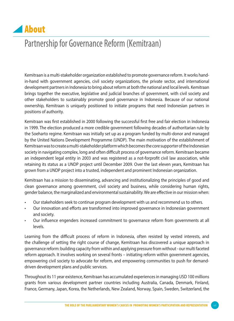

## Partnership for Governance Reform (Kemitraan)

Kemitraan is a multi-stakeholder organization established to promote governance reform. It works handin-hand with government agencies, civil society organizations, the private sector, and international development partners in Indonesia to bring about reform at both the national and local levels. Kemitraan brings together the executive, legislative and judicial branches of government, with civil society and other stakeholders to sustainably promote good governance in Indonesia. Because of our national ownership, Kemitraan is uniquely positioned to initiate programs that need Indonesian partners in positions of authority.

Kemitraan was first established in 2000 following the successful first free and fair election in Indonesia in 1999. The election produced a more credible government following decades of authoritarian rule by the Soeharto regime. Kemitraan was initially set up as a program funded by multi-donor and managed by the United Nations Development Programme (UNDP). The main motivation of the establishment of Kemitraan was to create a multi-stakeholder platform which becomes the core supporter of the Indonesian society in navigating complex, long and often difficult process of governance reform. Kemitraan became an independent legal entity in 2003 and was registered as a not-forprofit civil law association, while retaining its status as a UNDP project until December 2009. Over the last eleven years, Kemitraan has grown from a UNDP project into a trusted, independent and prominent Indonesian organization.

Kemitraan has a mission to disseminating, advancing and institutionalizing the principles of good and clean governance among government, civil society and business, while considering human rights, gender balance, the marginalized and environmental sustainability. We are effective in our mission when:

- Our stakeholders seek to continue program development with us and recommend us to others.
- Our innovation and efforts are transformed into improved governance in Indonesian government and society.
- Our influence engenders increased commitment to governance reform from governments at all levels.

Learning from the difficult process of reform in Indonesia, often resisted by vested interests, and the challenge of setting the right course of change, Kemitraan has discovered a unique approach in governance reform: building capacity from within and applying pressure from without - our multi faceted reform approach. It involves working on several fronts – initiating reform within government agencies, empowering civil society to advocate for reform, and empowering communities to push for demanddriven development plans and public services.

Throughout its 11 year existence, Kemitraan has accumulated experiences in managing USD 100 millions grants from various development partner countries including Australia, Canada, Denmark, Finland, France, Germany, Japan, Korea, the Netherlands, New Zealand, Norway, Spain, Sweden, Switzerland, the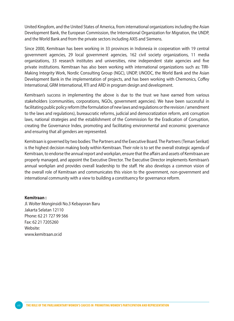United Kingdom, and the United States of America, from international organizations including the Asian Development Bank, the European Commission, the International Organization for Migration, the UNDP, and the World Bank and from the private sectors including AXIS and Siemens.

Since 2000, Kemitraan has been working in 33 provinces in Indonesia in cooperation with 19 central government agencies, 29 local government agencies, 162 civil society organizations, 11 media organizations, 33 research institutes and universities, nine independent state agencies and five private institutions. Kemitraan has also been working with international organizations such as: TIRI-Making Integrity Work, Nordic Consulting Group (NGC), UNDP, UNODC, the World Bank and the Asian Development Bank in the implementation of projects, and has been working with Chemonics, Coffey International, GRM International, RTI and ARD in program design and development.

Kemitraan's success in implementing the above is due to the trust we have earned from various stakeholders (communities, corporations, NGOs, government agencies). We have been successful in facilitating public policy reform (the formulation of new laws and regulations or the revision / amendment to the laws and regulations), bureaucratic reforms, judicial and democratization reform, anti corruption laws, national strategies and the establishment of the Commission for the Eradication of Corruption, creating the Governance Index, promoting and facilitating environmental and economic governance and ensuring that all genders are represented.

Kemitraan is governed by two bodies: The Partners and the Executive Board. The Partners (Teman Serikat) is the highest decision making body within Kemitraan. Their role is to set the overall strategic agenda of Kemitraan, to endorse the annual report and workplan, ensure that the affairs and assets of Kemitraan are properly managed, and appoint the Executive Director. The Executive Director implements Kemitraan's annual workplan and provides overall leadership to the staff. He also develops a common vision of the overall role of Kemitraan and communicates this vision to the government, non-government and international community with a view to building a constituency for governance reform.

#### **Kemitraan :**

Jl. Wolter Monginsidi No.3 Kebayoran Baru Jakarta Selatan 12110 Phone: 62 21 727 99 566 Fax: 62 21 7205260 Website: www.kemitraan.or.id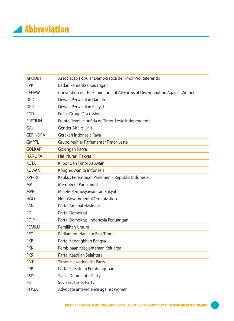## **Abbreviation**

| <b>APODETI</b>     | Associacao Popular Democratica de Timor Pro Referendo                      |
|--------------------|----------------------------------------------------------------------------|
| <b>BPK</b>         | Badan Pemeriksa Keuangan                                                   |
| <b>CEDAW</b>       | Convention on the Elimination of All Forms of Discrimination Against Women |
| <b>DPD</b>         | Dewan Perwakilan Daerah                                                    |
| <b>DPR</b>         | Dewan Perwakilan Rakyat                                                    |
| FGD                | <b>Focus Group Discussion</b>                                              |
| <b>FRETILIN</b>    | Frente Revolucionária de Timor-Leste Independente                          |
| GAU                | <b>Gender Affairs Unit</b>                                                 |
| <b>GERINDRA</b>    | Gerakan Indonesia Raya                                                     |
| <b>GMPTL</b>       | Grupo Muhler Parlementar Timor-Leste                                       |
| <b>GOLKAR</b>      | Golongan Karya                                                             |
| <b>HANURA</b>      | Hati Nurani Rakyat                                                         |
| <b>KOTA</b>        | Klibor Oan Timor Asuwain                                                   |
| <b>KOWANI</b>      | Kongres Wanita Indonesia                                                   |
| KPP-RI             | Kaukus Perempuan Parlemen - Republik Indonesia                             |
| ΜP                 | <b>Member of Parliament</b>                                                |
| <b>MPR</b>         | Majelis Permusyawaratan Rakyat                                             |
| <b>NGO</b>         | Non-Governmental Organization                                              |
| PAN                | Partai Amanat Nasional                                                     |
| <b>PD</b>          | Partai Demokrat                                                            |
| <b>PDIP</b>        | Partai Demokrasi Indonesia Perjuangan                                      |
| PEMILU             | Pemilihan Umum                                                             |
| PET                | Parliamentarians for East Timor                                            |
| <b>PKB</b>         | Partai Kebangkitan Bangsa                                                  |
| <b>PKK</b>         | Pembinaan Kesejahteraan Keluarga                                           |
| <b>PKS</b>         | Partai Keadilan Sejahtera                                                  |
| <b>PNT</b>         | <b>Timorese Nationalist Party</b>                                          |
| PPP                | Partai Persatuan Pembangunan                                               |
| <b>PSD</b>         | <b>Sosial Democratic Party</b>                                             |
| <b>PST</b>         | Socialist Timor Party                                                      |
| PTP <sub>2</sub> A | Advocate anti-violence against women                                       |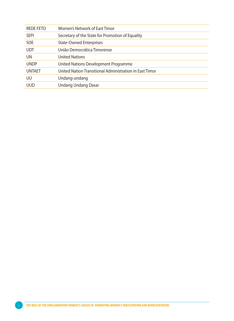| <b>REDE FETO</b> | Women's Network of East Timor                           |
|------------------|---------------------------------------------------------|
| <b>SEPI</b>      | Secretary of the State for Promotion of Equality        |
| <b>SOE</b>       | <b>State-Owned Enterprises</b>                          |
| UDT              | União Democrática Timorense                             |
| UN               | <b>United Nations</b>                                   |
| UNDP             | United Nations Development Programme                    |
| UNTAET           | United Nation Transitional Administration in East Timor |
| UU               | Undang-undang                                           |
| uud              | <b>Undang Undang Dasar</b>                              |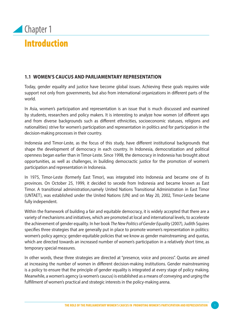

#### **1.1 Women's Caucus and Parliamentary Representation**

Today, gender equality and justice have become global issues. Achieving these goals requires wide support not only from governments, but also from international organizations in different parts of the world.

In Asia, women's participation and representation is an issue that is much discussed and examined by students, researchers and policy makers. It is interesting to analyze how women (of different ages and from diverse backgrounds such as different ethnicities, socioeconomic statuses, religions and nationalities) strive for women's participation and representation in politics and for participation in the decision-making processes in their country.

Indonesia and Timor-Leste, as the focus of this study, have different institutional backgrounds that shape the development of democracy in each country. In Indonesia, democratization and political openness began earlier than in Timor-Leste. Since 1998, the democracy in Indonesia has brought about opportunities, as well as challenges, in building democractic justice for the promotion of women's participation and representation in Indonesia.

In 1975, Timor-Leste (formerly East Timor), was integrated into Indonesia and became one of its provinces. On October 25, 1999, it decided to secede from Indonesia and became known as East Timor. A transitional administration,namely United Nations Transitional Administration in East Timor (UNTAET), was established under the United Nations (UN) and on May 20, 2002, Timor-Leste became fully independent.

Within the framework of building a fair and equitable democracy, it is widely accepted that there are a variety of mechanisms and initiatives, which are promoted at local and international levels, to accelerate the achievement of gender equality. In her book *The New Politics of Gender Equality* (2007), Judith Squires specifies three strategies that are generally put in place to promote women's representation in politics: women's policy agency; gender-equitable policies that we know as gender mainstreaming; and quotas, which are directed towards an increased number of women's participation in a relatively short time, as temporary special measures.

In other words, these three strategies are directed at "presence, voice and process". Quotas are aimed at increasing the number of women in different decision-making institutions. Gender mainstreaming is a policy to ensure that the principle of gender equality is integrated at every stage of policy making. Meanwhile, a women's agency (a women's caucus) is established as a means of conveying and urging the fulfillment of women's practical and strategic interests in the policy-making arena.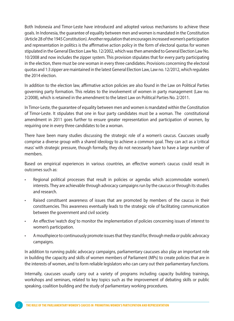Both Indonesia and Timor-Leste have introduced and adopted various mechanisms to achieve these goals. In Indonesia, the guarantee of equality between men and women is mandated in the Constitution (Article 28 of the 1945 Constitution). Another regulation that encourages increased women's participation and representation in politics is the affirmative action policy in the form of electoral quotas for women stipulated in the General Election Law No. 12/2002, which was then amended to General Election Law No. 10/2008 and now includes the zipper system. This provision stipulates that for every party participating in the election, there must be one woman in every three candidates. Provisions concerning the electoral quotas and 1:3 zipper are maintained in the latest General Election Law, Law no. 12/2012, which regulates the 2014 election.

In addition to the election law, affirmative action policies are also found in the Law on Political Parties governing party formation. This relates to the involvement of women in party management (Law no. 2/2008), which is retained in the amendment to the latest Law on Political Parties No. 2/2011.

In Timor-Leste, the guarantee of equality between men and women is mandated within the Constitution of Timor-Leste. It stipulates that one in four party candidates must be a woman. The constitutional amendment in 2011 goes further to ensure greater representation and participation of women, by requiring one in every three candidates to be a woman.

There have been many studies discussing the strategic role of a women's caucus. Caucuses usually comprise a diverse group with a shared ideology to achieve a common goal. They can act as a 'critical mass' with strategic pressure, though formally, they do not necessarily have to have a large number of members.

Based on empirical experiences in various countries, an effective women's caucus could result in outcomes such as:

- Regional political processes that result in policies or agendas which accommodate women's interests. They are achievable through advocacy campaigns run by the caucus or through its studies and research.
- Raised constituent awareness of issues that are promoted by members of the caucus in their constituencies. This awareness eventually leads to the strategic role of facilitating communication between the government and civil society.
- An effective 'watch dog' to monitor the implementation of policies concerning issues of interest to women's participation.
- A mouthpiece to continuously promote issues that they stand for, through media or public advocacy campaigns.

In addition to running public advocacy campaigns, parliamentary caucuses also play an important role in building the capacity and skills of women members of Parliament (MPs) to create policies that are in the interests of women, and to form reliable legislators who can carry out their parliamentary functions.

Internally, caucuses usually carry out a variety of programs including capacity building trainings, workshops and seminars, related to key topics such as the improvement of debating skills or public speaking, coalition building and the study of parliamentary working procedures.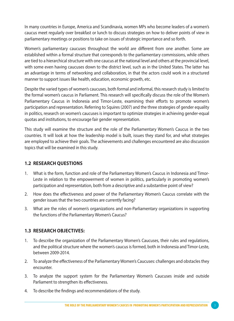In many countries in Europe, America and Scandinavia, women MPs who become leaders of a women's caucus meet regularly over breakfast or lunch to discuss strategies on how to deliver points of view in parliamentary meetings or positions to take on issues of strategic importance and so forth.

Women's parliamentary caucuses throughout the world are different from one another. Some are established within a formal structure that corresponds to the parliamentary commissions, while others are tied to a hierarchical structure with one caucus at the national level and others at the provincial level, with some even having caucuses down to the district level, such as in the United States. The latter has an advantage in terms of networking and collaboration, in that the actors could work in a structured manner to support issues like health, education, economic growth, etc.

Despite the varied types of women's caucuses, both formal and informal, this research study is limited to the formal women's caucus in Parliament. This research will specifically discuss the role of the Women's Parliamentary Caucus in Indonesia and Timor-Leste, examining their efforts to promote women's participation and representation. Referring to Squires (2007) and the three strategies of gender equality in politics, research on women's caucuses is important to optimize strategies in achieving gender-equal quotas and institutions, to encourage fair gender representation.

This study will examine the structure and the role of the Parliamentary Women's Caucus in the two countries. It will look at how the leadership model is built, issues they stand for, and what strategies are employed to achieve their goals. The achievements and challenges encountered are also discussion topics that will be examined in this study.

#### **1.2 Research Questions**

- 1. What is the form, function and role of the Parliamentary Women's Caucus in Indonesia and Timor-Leste in relation to the empowerment of women in politics, particularly in promoting women's participation and representation, both from a descriptive and a substantive point of view?
- 2. How does the effectiveness and power of the Parliamentary Women's Caucus correlate with the gender issues that the two countries are currently facing?
- 3. What are the roles of women's organizations and non-Parliamentary organizations in supporting the functions of the Parliamentary Women's Caucus?

#### **1.3 Research Objectives:**

- 1. To describe the organization of the Parliamentary Women's Caucuses, their rules and regulations, and the political structure where the women's caucus is formed, both in Indonesia and Timor-Leste, between 2009-2014.
- 2. To analyze the effectiveness of the Parliamentary Women's Caucuses: challenges and obstacles they encounter.
- 3. To analyze the support system for the Parliamentary Women's Caucuses inside and outside Parliament to strengthen its effectiveness.
- 4. To describe the findings and recommendations of the study.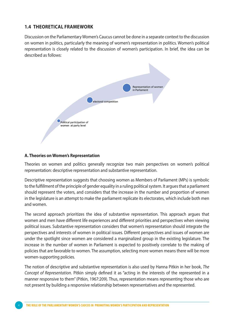#### **1.4 Theoretical Framework**

Discussion on the Parliamentary Women's Caucus cannot be done in a separate context to the discussion on women in politics, particularly the meaning of women's representation in politics. Women's political representation is closely related to the discussion of women's participation. In brief, the idea can be described as follows:



#### **A. Theories on Women's Representation**

Theories on women and politics generally recognize two main perspectives on women's political representation: descriptive representation and substantive representation.

Descriptive representation suggests that choosing women as Members of Parliament (MPs) is symbolic to the fulfillment of the principle of gender equality in a ruling political system. It argues that a parliament should represent the voters, and considers that the increase in the number and proportion of women in the legislature is an attempt to make the parliament replicate its electorates, which include both men and women.

The second approach prioritizes the idea of substantive representation. This approach argues that women and men have different life experiences and different priorities and perspectives when viewing political issues. Substantive representation considers that women's representation should integrate the perspectives and interests of women in political issues. Different perspectives and issues of women are under the spotlight since women are considered a marginalized group in the existing legislature. The increase in the number of women in Parliament is expected to positively correlate to the making of policies that are favorable to women. The assumption, selecting more women means there will be more women-supporting policies.

The notion of descriptive and substantive representation is also used by Hanna Pitkin in her book, *The Concept of Representation*. Pitkin simply defined it as "acting in the interests of the represented in a manner responsive to them" (Pitkin, 1967:209). Thus, representation means representing those who are not present by building a responsive relationship between representatives and the represented.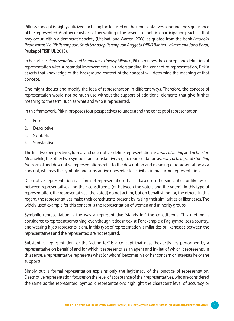Pitkin's concept is highly criticized for being too focused on the representatives, ignoring the significance of the represented. Another drawback of her writing is the absence of political participation practices that may occur within a democratic society (Urbinati and Warren, 2008, as quoted from the book *Paradoks Representasi Politik Perempuan: Studi terhadap Perempuan Anggota DPRD Banten, Jakarta and Jawa Barat*, Puskapol FISIP UI, 2013).

In her article, *Representation and Democracy: Uneasy Alliance*, Pitkin renews the concept and definition of representation with substantial improvements. In understanding the concept of representation, Pitkin asserts that knowledge of the background context of the concept will determine the meaning of that concept.

One might deduct and modify the idea of representation in different ways. Therefore, the concept of representation would not be much use without the support of additional elements that give further meaning to the term, such as what and who is represented.

In this framework, Pitkin proposes four perspectives to understand the concept of representation:

- 1. Formal
- 2. Descriptive
- 3. Symbolic
- 4. Substantive

The first two perspectives, formal and descriptive, define representation as a *way of acting* and *acting for*. Meanwhile, the other two, symbolic and substantive, regard representation as *a way of being* and *standing for*. Formal and descriptive representations refer to the description and meaning of representation as a concept, whereas the symbolic and substantive ones refer to activities in practicing representation.

Descriptive representation is a form of representation that is based on the similarities or likenesses between representatives and their constituents (or between the voters and the voted). In this type of representation, the representatives (the voted) do not act for, but on behalf stand for, the others. In this regard, the representatives make their constituents present by raising their similarities or likenesses. The widely-used example for this concept is the representation of women and minority groups.

Symbolic representation is the way a representative "stands for" the constituents. This method is considered to represent something, even though it doesn't exist. For example, a flag symbolizes a country, and wearing hijab represents Islam. In this type of representation, similarities or likenesses between the representatives and the represented are not required.

Substantive representation, or the "acting for," is a concept that describes activities performed by a representative on behalf of and for which it represents, as an agent and in-lieu of which it represents. In this sense, a representative represents what (or whom) becomes his or her concern or interests he or she supports.

Simply put, a formal representation explains only the legitimacy of the practice of representation. Descriptive representation focuses on the level of acceptance of their representatives, who are considered the same as the represented. Symbolic representations highlight the characters' level of accuracy or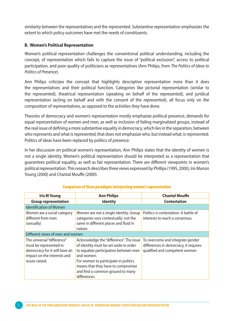similarity between the representatives and the represented. Substantive representation emphasizes the extent to which policy outcomes have met the needs of constituents.

#### **B. Women's Political Representation**

Women's political representation challenges the conventional political understanding, including the concept, of representation which fails to capture the issue of "political exclusion", access to political participation, and poor quality of politicians as representatives (Ann Philips, from *The Politics of Ideas to Politics of Presence*).

Ann Philips criticizes the concept that highlights descriptive representation more than it does the representatives and their political function. Categories like pictorial representation (similar to the represented), theatrical representation (speaking on behalf of the represented), and juridical representation (acting on behalf and with the consent of the represented), all focus only on the composition of representatives, as opposed to the activities they have done.

Theories of democracy and women's representation mostly emphasize political presence, demands for equal representation of women and men, as well as inclusion of failing marginalized groups, instead of the real issue of defining a more substantive equality in democracy, which lies in the separation, between who represents and what is represented, that does not emphasize who, but instead what, is represented. Politics of ideas have been replaced by politics of presence.

In her discussion on political women's representation, Ann Philips states that the identity of women is not a single identity. Women's political representation should be interpreted as a representation that guarantees political equality, as well as fair representation. There are different viewpoints in women's political representation. This research describes three views expressed by Phillips (1995, 2000), Iris Marion Young (2000) and Chantal Mouffe (2000).

| <b>Iris M Young</b>                                                                                                                                                                                                                                                                                                                                                                                                  | <b>Ann Philips</b>                                                                                                                  | <b>Chantal Mouffe</b>                                                                                       |
|----------------------------------------------------------------------------------------------------------------------------------------------------------------------------------------------------------------------------------------------------------------------------------------------------------------------------------------------------------------------------------------------------------------------|-------------------------------------------------------------------------------------------------------------------------------------|-------------------------------------------------------------------------------------------------------------|
| <b>Group representation</b>                                                                                                                                                                                                                                                                                                                                                                                          | <b>Identity</b>                                                                                                                     | <b>Contestation</b>                                                                                         |
| Identification of Women                                                                                                                                                                                                                                                                                                                                                                                              |                                                                                                                                     |                                                                                                             |
| Women are a social category<br>different from men<br>(sexually)                                                                                                                                                                                                                                                                                                                                                      | Women are not a single identity. Group<br>categories vary contextually; not the<br>same in different places and fluid in<br>nature. | Politics is contestation. A battle of<br>interests to reach a consensus.                                    |
| Different views of men and women                                                                                                                                                                                                                                                                                                                                                                                     |                                                                                                                                     |                                                                                                             |
| The universal "difference"<br>Acknowledge the "difference". The issue<br>of identity must be set aside in order<br>must be represented in<br>democracy for it will have an<br>to equalize participation between men<br>impact on the interests and<br>and women.<br>issues raised.<br>For women to participate in politics<br>means that they have to compromise<br>and find a common ground to many<br>differences. |                                                                                                                                     | To overcome and integrate gender<br>differences in democracy, it requires<br>qualified and competent women. |

#### Comparison of three paradigms interpreting women's representation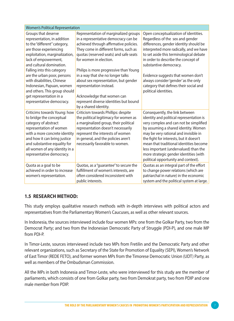| <b>Women's Political Representation</b>                                                                                                                                                                                                                                                                                                                                                                             |                                                                                                                                                                                                                                                                                                                                                                                                                                                                                         |                                                                                                                                                                                                                                                                                                                                                                                                                             |
|---------------------------------------------------------------------------------------------------------------------------------------------------------------------------------------------------------------------------------------------------------------------------------------------------------------------------------------------------------------------------------------------------------------------|-----------------------------------------------------------------------------------------------------------------------------------------------------------------------------------------------------------------------------------------------------------------------------------------------------------------------------------------------------------------------------------------------------------------------------------------------------------------------------------------|-----------------------------------------------------------------------------------------------------------------------------------------------------------------------------------------------------------------------------------------------------------------------------------------------------------------------------------------------------------------------------------------------------------------------------|
| Groups that deserve<br>representation, in addition<br>to the "different" category,<br>are those experiencing<br>exploitation, marginalization,<br>lack of empowerment,<br>and cultural domination.<br>Falling into this category<br>are the urban poor, persons<br>with disabilities, Chinese<br>Indonesian, Papuan, women<br>and others. This group should<br>get representation in a<br>representative democracy. | Representation of marginalized groups<br>in a representative democracy can be<br>achieved through affirmative policies.<br>They come in different forms, such as<br>quotas (reserved seats) and safe seats<br>for women in election.<br>Philips is more progressive than Young<br>in a way that she no longer talks<br>about sex representation, but gender<br>representation instead.<br>Acknowledge that women can<br>represent diverse identities but bound<br>by a shared identity. | Open conceptualization of identities.<br>Regardless of the sex and gender<br>differences, gender identity should be<br>interpreted more radically, and we have<br>to set aside this terminological debate<br>in order to describe the concept of<br>substantive democracy.<br>Evidence suggests that women don't<br>always consider 'gender' as the only<br>category that defines their social and<br>political identities. |
| Criticims towards Young: how<br>to bridge the conceptual<br>category of abstract<br>representation of women<br>with a more concrete identity<br>and how it can bring justice<br>and substantive equality for<br>all women of any identity in a<br>representative democracy.                                                                                                                                         | Criticism towards Phillips: despite<br>the political legitimacy for women as<br>a marginalized group, their political<br>representation doesn't necessarily<br>represent the interests of women<br>in general, and the policies aren't<br>necessarily favorable to women.                                                                                                                                                                                                               | Consequently, the link between<br>identity and political representation is<br>very complex and can not be simplified<br>by assuming a shared identity. Women<br>may be very rational and invisible in<br>the fight for interests, but it doesn't<br>mean that traditional identities become<br>less important (undervalued) than the<br>more strategic gender identities (with<br>political opportunity and context).       |
| Quota as a goal to be<br>achieved in order to increase<br>women's representation.                                                                                                                                                                                                                                                                                                                                   | Quotas, as a "guarantee" to secure the<br>fulfillment of women's interests, are<br>often considered inconsistent with<br>public interests.                                                                                                                                                                                                                                                                                                                                              | Quotas as an integral part of the effort<br>to change power relations (which are<br>patriarchal in nature) in the economic<br>system and the political system at large.                                                                                                                                                                                                                                                     |

### **1.5 Research Method:**

This study employs qualitative research methods with in-depth interviews with political actors and representatives from the Parliamentary Women's Caucuses, as well as other relevant sources.

In Indonesia, the sources interviewed include four women MPs: one from the Golkar Party, two from the Democrat Party; and two from the Indonesian Democratic Party of Struggle (PDI-P), and one male MP from PDI-P.

In Timor-Leste, sources interviewed include two MPs from Fretilin and the Democratic Party and other relevant organizations, such as Secretary of the State for Promotion of Equality (SEPI), Women's Network of East Timor (REDE FETO), and former women MPs from the Timorese Democratic Union (UDT) Party, as well as members of the Ombudsman Commission.

All the MPs in both Indonesia and Timor-Leste, who were interviewed for this study are the member of parliaments, which consists of one from Golkar party, two from Demokrat party, two from PDIP and one male member from PDIP.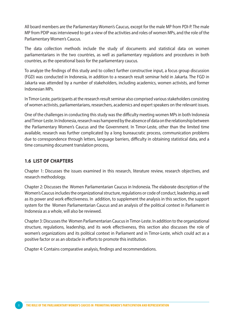All board members are the Parliamentary Women's Caucus, except for the male MP from PDI-P. The male MP from PDIP was interviewed to get a view of the activities and roles of women MPs, and the role of the Parliamentary Women's Caucus.

The data collection methods include the study of documents and statistical data on women parliamentarians in the two countries, as well as parliamentary regulations and procedures in both countries, as the operational basis for the parliamentary caucus.

To analyze the findings of this study and to collect further constructive input, a focus group discussion (FGD) was conducted in Indonesia, in addition to a research result seminar held in Jakarta. The FGD in Jakarta was attended by a number of stakeholders, including academics, women activists, and former Indonesian MPs.

In Timor-Leste, participants at the research result seminar also comprised various stakeholders consisting of women activists, parliamentarians, researchers, academics and expert speakers on the relevant issues.

One of the challenges in conducting this study was the difficulty meeting women MPs in both Indonesia and Timor-Leste. In Indonesia, research was hampered by the absence of data on the relationship between the Parliamentary Women's Caucus and the Government. In Timor-Leste, other than the limited time available, research was further complicated by a long bureaucratic process, communication problems due to correspondence through letters, language barriers, difficulty in obtaining statistical data, and a time consuming document translation process,

#### **1.6 List of Chapters**

Chapter 1: Discusses the issues examined in this research, literature review, research objectives, and research methodology.

Chapter 2: Discusses the Women Parliamentarian Caucus in Indonesia. The elaborate description of the Women's Caucus includes the organizational structure, regulations or code of conduct, leadership, as well as its power and work effectiveness. In addition, to supplement the analysis in this section, the support system for the Women Parliamentarian Caucus and an analysis of the political context in Parliament in Indonesia as a whole, will also be reviewed.

Chapter 3: Discusses the Women Parliamentarian Caucus in Timor-Leste. In addition to the organizational structure, regulations, leadership, and its work effectiveness, this section also discusses the role of women's organizations and its political context in Parliament and in Timor-Leste, which could act as a positive factor or as an obstacle in efforts to promote this institution.

Chapter 4: Contains comparative analysis, findings and recommendations.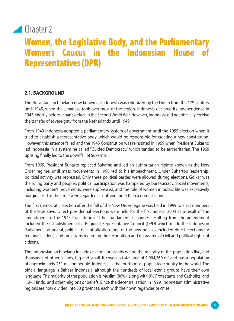## **Chapter 2**

## Women, the Legislative Body, and the Parliamentary Women's Caucus in the Indonesian House Representatives (DPR)

## **2.1. Background**

The Nusantara archipelago now known as Indonesia was colonized by the Dutch from the  $17<sup>th</sup>$  century until 1945, when the Japanese took over most of the region. Indonesia declared its independence in 1945, shortly before Japan's defeat in the Second World War. However, Indonesia did not officially receive the transfer of sovereignty from the Netherlands until 1949.

From 1949 Indonesia adopted a parliamentary system of government until the 1955 election when it tried to establish a representative body, which would be responsible for creating a new constitution. However, this attempt failed and the 1945 Constitution was reinstated in 1959 when President Sukarno led Indonesia in a system he called "Guided Democracy," which tended to be authoritarian. The 1965 uprising finally led to the downfall of Sukarno.

From 1965, President Suharto replaced Sukarno and led an authoritarian regime known as the New Order regime, until mass movements in 1998 led to his impeachment. Under Suharto's leadership, political activity was repressed. Only three political parties were allowed during elections. Golkar was the ruling party and people's political participation was hampered by bureaucracy. Social movements, including women's movements, were suppressed, and the role of women in public life was excessively marginalized as their role were regarded as nothing more than a domestic one.

The first democratic election after the fall of the New Order regime was held in 1999 to elect members of the legislative. Direct presidential elections were held for the first time in 2004 as a result of the amendment to the 1945 Constitution. Other fundamental changes resulting from the amendment included the establishment of a Regional Representative Council (DPD) which made the Indonesian Parliament bicameral, political decentralization (one of the new policies included direct elections for regional leaders), and provisions regarding the recognition and guarantee of civil and political rights of citizens.

The Indonesian archipelago includes five major islands where the majority of the population live, and thousands of other islands, big and small. It covers a total area of 1,904,569  $\mathrm{m}^2$  and has a population of approximately 251 million people. Indonesia is the fourth most populated country in the world. The official language is Bahasa Indonesia, although the hundreds of local ethnic groups have their own language. The majority of the population is Muslim (86%), along with 8% Protestants and Catholics, and 1.8% Hindu, and other religions or beliefs. Since the decentralization in 1999, Indonesian administrative regions are now divided into 33 provinces, each with their own regencies or cities.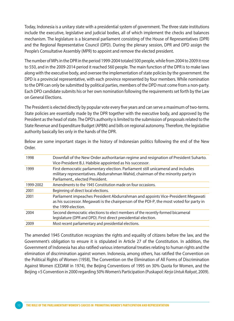Today, Indonesia is a unitary state with a presidential system of government. The three state institutions include the executive, legislative and judicial bodies, all of which implement the checks and balances mechanism. The legislature is a bicameral parliament consisting of the House of Representatives (DPR) and the Regional Representative Council (DPD). During the plenary session, DPR and DPD assign the People's Consultative Assembly (MPR) to appoint and remove the elected president.

The number of MPs in the DPR in the period 1999-2004 totaled 500 people, while from 2004 to 2009 it rose to 550, and in the 2009-2014 period it reached 560 people. The main function of the DPR is to make laws along with the executive body, and oversee the implementation of state policies by the government. the DPD is a provincial representative, with each province represented by four members. While nomination to the DPR can only be submitted by political parties, members of the DPD must come from a non-party. Each DPD candidate submits his or her own nomination following the requirements set forth by the Law on General Elections.

The President is elected directly by popular vote every five years and can serve a maximum of two-terms. State policies are essentially made by the DPR together with the executive body, and approved by the President as the head of state. The DPD's authority is limited to the submission of proposals related to the State Revenue and Expenditure Budget (APBN) and bills on regional autonomy. Therefore, the legislative authority basically lies only in the hands of the DPR.

| 1998      | Downfall of the New Order authoritarian regime and resignation of President Suharto.<br>Vice-President B.J. Habibie appointed as his successor.                                                        |
|-----------|--------------------------------------------------------------------------------------------------------------------------------------------------------------------------------------------------------|
| 1999      | First democratic parliamentary election. Parliament still unicameral and includes<br>military representatives. Abdurrahman Wahid, chairman of the minority party in<br>Parliament,, elected President. |
| 1999-2002 | Amendments to the 1945 Constitution made on four occasions.                                                                                                                                            |
| 2001      | Beginning of direct local elections.                                                                                                                                                                   |
| 2001      | Parliament impeaches President Abdurrahman and appoints Vice-President Megawati<br>as his successor. Megawati is the chairperson of the PDI-P, the most voted for party in<br>the 1999 election.       |
| 2004      | Second democratic elections to elect members of the recently-formed bicameral<br>legislature (DPR and DPD). First direct presidential election.                                                        |
| 2009      | Most recent parliamentary and presidential elections.                                                                                                                                                  |

Below are some important stages in the history of Indonesian politics following the end of the New Order.

The amended 1945 Constitution recognizes the rights and equality of citizens before the law, and the Government's obligation to ensure it is stipulated in Article 27 of the Constitution. In addition, the Government of Indonesia has also ratified various international treaties relating to human rights and the elimination of discrimination against women. Indonesia, among others, has ratified the Convention on the Political Rights of Women (1958), The Convention on the Elimination of All Forms of Discrimination Against Women (CEDAW in 1974), the Beijing Conventions of 1995 on 30% Quota for Women, and the Beijing +5 Convention in 2000 regarding 50% Women's Participation (Puskapol: *Kerja Untuk Rakyat*, 2009).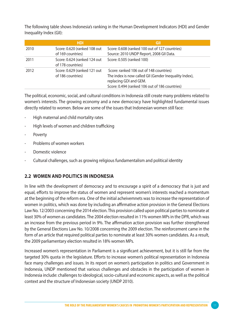The following table shows Indonesia's ranking in the Human Development Indicators (HDI) and Gender Inequality Index (GII):

|      | <b>HDI</b>                                        | GII                                                                                                                                                                           |
|------|---------------------------------------------------|-------------------------------------------------------------------------------------------------------------------------------------------------------------------------------|
| 2010 | Score: 0.620 (ranked 108 out<br>of 169 countries) | Score: 0.608 (ranked 100 out of 127 countries)<br>Source: 2010 UNDP Report, 2008 GII Data.                                                                                    |
| 2011 | Score: 0.624 (ranked 124 out<br>of 178 countries) | Score: 0.505 (ranked 100)                                                                                                                                                     |
| 2012 | Score: 0.629 (ranked 121 out<br>of 186 countries) | Score: ranked 106 out of 148 countries)<br>The index is now called GII (Gender Inequality Index),<br>replacing GDI and GEM.<br>Score: 0.494 (ranked 106 out of 186 countries) |

The political, economic, social, and cultural conditions in Indonesia still create many problems related to women's interests. The growing economy and a new democracy have highlighted fundamental issues directly related to women. Below are some of the issues that Indonesian women still face:

- High maternal and child mortality rates
- High levels of women and children trafficking
- **Poverty**
- Problems of women workers
- Domestic violence
- Cultural challenges, such as growing religious fundamentalism and political identity

#### **2.2 Women and Politics in Indonesia**

In line with the development of democracy and to encourage a spirit of a democracy that is just and equal, efforts to improve the status of women and represent women's interests reached a momentum at the beginning of the reform era. One of the initial acheivemnets was to increase the representation of women in politics, which was done by including an affirmative action provision in the General Elections Law No. 12/2003 concerning the 2014 election. This provision called upon political parties to nominate at least 30% of women as candidates. The 2004 election resulted in 11% women MPs in the DPR, which was an increase from the previous period in 9%. The affirmation action provision was further strengthened by the General Elections Law No. 10/2008 concerning the 2009 election. The reinforcement came in the form of an article that required political parties to nominate at least 30% women candidates. As a result, the 2009 parliamentary election resulted in 18% women MPs.

Increased women's representation in Parliament is a significant achievement, but it is still far from the targeted 30% quota in the legislature. Efforts to increase women's political representation in Indonesia face many challenges and issues. In its report on women's participation in politics and Government in Indonesia, UNDP mentioned that various challenges and obstacles in the participation of women in Indonesia include: challenges to ideological, socio-cultural and economic aspects, as well as the political context and the structure of Indonesian society (UNDP 2010).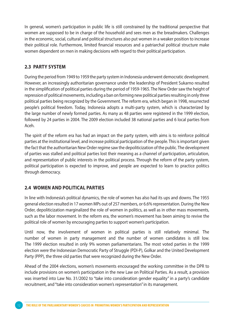In general, women's participation in public life is still constrained by the traditional perspective that women are supposed to be in charge of the household and sees men as the breadmakers. Challenges in the economic, social, cultural and political structures also put women in a weaker position to increase their political role. Furthermore, limited financial resources and a patriarchal political structure make women dependent on men in making decisions with regard to their political participation.

#### **2.3 Party System**

During the period from 1949 to 1959 the party system in Indonesia underwent democratic development. However, an increasingly authoritarian governance under the leadership of President Sukarno resulted in the simplification of political parties during the period of 1959-1965. The New Order saw the height of repression of political movements, including a ban on forming new political parties resulting in only three political parties being recognized by the Government. The reform era, which began in 1998, resurrected people's political freedom. Today, Indonesia adopts a multi-party system, which is characterized by the large number of newly formed parties. As many as 48 parties were registered in the 1999 election, followed by 24 parties in 2004. The 2009 election included 38 national parties and 6 local parties from Aceh.

The spirit of the reform era has had an impact on the party system, with aims is to reinforce political parties at the institutional level, and increase political participation of the people. This is important given the fact that the authoritarian New Order regime saw the depoliticization of the public. The development of parties was stalled and political parties lost their meaning as a channel of participation, articulation, and representation of public interests in the political process. Through the reform of the party system, political participation is expected to improve, and people are expected to learn to practice politics through democracy.

### **2.4 Women and Political Parties**

In line with Indonesia's political dynamics, the role of women has also had its ups and downs. The 1955 general election resulted in 17 women MPs out of 257 members, or 6.6% representation. During the New Order, depoliticization marginalized the role of women in politics, as well as in other mass movements, such as the labor movement. In the reform era, the women's movement has been aiming to revive the political role of women by encouraging parties to support women's participation.

Until now, the involvement of women in political parties is still relatively minimal. The number of women in party management and the number of women candidates is still low. The 1999 election resulted in only 9% women parliamentarians. The most voted parties in the 1999 election were the Indonesian Democratic Party of Struggle (PDI-P), Golkar and the United Development Party (PPP), the three old parties that were recognized during the New Order.

Ahead of the 2004 elections, women's movements encouraged the working committee in the DPR to include provisions on women's participation in the new Law on Political Parties. As a result, a provision was inserted into Law No. 31/2002 to "take into consideration gender equality" in a party's candidate recruitment, and "take into consideration women's representation" in its management.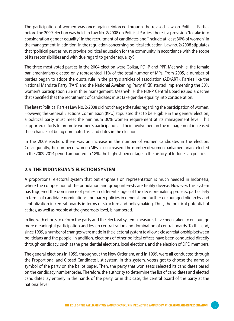The participation of women was once again reinforced through the revised Law on Political Parties before the 2009 election was held. In Law No. 2/2008 on Political Parties, there is a provision "to take into consideration gender equality" in the recruitment of candidates and "include at least 30% of women" in the management. In addition, in the regulation concerning political education, Law no. 2/2008 stipulates that "political parties must provide political education for the community in accordance with the scope of its responsibilities and with due regard to gender equality".

The three most-voted parties in the 2004 election were Golkar, PDI-P and PPP. Meanwhile, the female parliamentarians elected only represented 11% of the total number of MPs. From 2005, a number of parties began to adopt the quota rule in the party's articles of association (AD/ART). Parties like the National Mandate Party (PAN) and the National Awakening Party (PKB) started implementing the 30% women's participation rule in thier management. Meanwhile, the PDI-P Central Board issued a decree that specified that the recruitment of candidates must take gender equality into consideration.

The latest Political Parties Law No. 2/2008 did not change the rules regarding the participation of women. However, the General Elections Commission (KPU) stipulated that to be eligible in the general election, a political party must meet the minimum 30% women requirement at its management level. This supported efforts to promote women's participation as their involvement in the management increased their chances of being nominated as candidates in the election.

In the 2009 election, there was an increase in the number of women candidates in the election. Consequently, the number of women MPs also increased. The number of women parliamentarians elected in the 2009-2014 period amounted to 18%, the highest percentage in the history of Indonesian politics.

### **2.5 The Indonesian's Election System**

A proportional electoral system that put emphasis on representation is much needed in Indonesia, where the composition of the population and group interests are highly diverse. However, this system has triggered the dominance of parties in different stages of the decision-making process, particularly in terms of candidate nominations and party policies in general, and further encouraged oligarchy and centralization in central boards in terms of structure and policymaking. Thus, the political potential of cadres, as well as people at the grassroots level, is hampered.

In line with efforts to reform the party and the electoral system, measures have been taken to encourage more meaningful participation and lessen centralization and domination of central boards. To this end, since 1999, a number of changes were made in the electoral system to allow a closer relationship between politicians and the people. In addition, elections of other political offices have been conducted directly through candidacy, such as the presidential elections, local elections, and the election of DPD members.

The general elections in 1955, throughout the New Order era, and in 1999, were all conducted through the Proportional and Closed Candidate List system. In this system, voters got to choose the name or symbol of the party on the ballot paper. Then, the party that won seats selected its candidates based on the candidacy number order. Therefore, the authority to determine the list of candidates and elected candidates lay entirely in the hands of the party, or in this case, the central board of the party at the national level.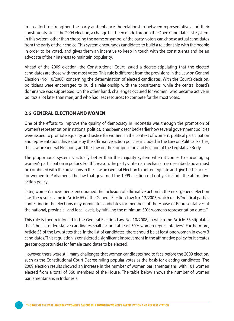In an effort to strengthen the party and enhance the relationship between representatives and their constituents, since the 2004 election, a change has been made through the Open Candidate List System. In this system, other than choosing the name or symbol of the party, voters can choose actual candidates from the party of their choice. This system encourages candidates to build a relationship with the people in order to be voted, and gives them an incentive to keep in touch with the constituents and be an advocate of their interests to maintain popularity.

Ahead of the 2009 election, the Constitutional Court issued a decree stipulating that the elected candidates are those with the most votes. This rule is different from the provisions in the Law on General Election (No. 10/2008) concerning the determination of elected candidates. With the Court's decision, politicians were encouraged to build a relationship with the constituents, while the central board's dominance was suppressed. On the other hand, challenges occured for women, who became active in politics a lot later than men, and who had less resources to compete for the most votes.

#### **2.6 General Election and Women**

One of the efforts to improve the quality of democracy in Indonesia was through the promotion of women's representation in national politics. It has been described earlier how several government policies were issued to promote equality and justice for women. In the context of women's political participation and representation, this is done by the affirmative action policies included in the Law on Political Parties, the Law on General Elections, and the Law on the Composition and Position of the Legislative Body.

The proportional system is actually better than the majority system when it comes to encouraging women's participation in politics. For this reason, the party's internal mechanism as described above must be combined with the provisions in the Law on General Election to better regulate and give better access for women to Parliament. The law that governed the 1999 election did not yet include the affirmative action policy.

Later, women's movements encouraged the inclusion of affirmative action in the next general election law. The results came in Article 65 of the General Election Law No. 12/2003, which reads "political parties contesting in the elections may nominate candidates for members of the House of Representatives at the national, provincial, and local levels, by fulfilling the minimum 30% women's representation quota."

This rule is then reinforced in the General Election Law No. 10/2008, in which the Article 53 stipulates that "the list of legislative candidates shall include at least 30% women representatives". Furthermore, Article 55 of the Law states that "in the list of candidates, there should be at least one woman in every 3 candidates." This regulation is considered a significant improvement in the affirmative policy for it creates greater opportunities for female candidates to be elected.

However, there were still many challenges that women candidates had to face before the 2009 election, such as the Constitutional Court Decree ruling popular votes as the basis for electing candidates. The 2009 election results showed an increase in the number of women parliamentarians, with 101 women elected from a total of 560 members of the House. The table below shows the number of women parliamentarians in Indonesia.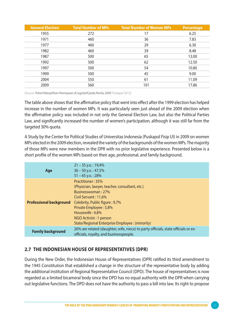| <b>General Election</b> | <b>Total Number of MPs</b> | <b>Total Number of Woman MPs</b> | <b>Percentage</b> |
|-------------------------|----------------------------|----------------------------------|-------------------|
| 1955                    | 272                        | 17                               | 6.25              |
| 1971                    | 460                        | 36                               | 7.83              |
| 1977                    | 460                        | 29                               | 6.30              |
| 1982                    | 460                        | 39                               | 8.48              |
| 1987                    | 500                        | 65                               | 13.00             |
| 1992                    | 500                        | 62                               | 12.50             |
| 1997                    | 500                        | 54                               | 10.80             |
| 1999                    | 500                        | 45                               | 9.00              |
| 2004                    | 550                        | 61                               | 11.09             |
| 2009                    | 560                        | 101                              | 17.86             |

(Source: *Potret Keterpilihan Perempuan di Legislatif pada Pemilu 2009*, Puskapol 2012)

The table above shows that the affirmative policy that went into effect after the 1999 election has helped increase in the number of women MPs. It was particularly seen just ahead of the 2009 election when the affirmative policy was included in not only the General Election Law, but also the Political Parties Law, and significantly increased the number of women's participation, although it was still far from the targeted 30% quota.

A Study by the Center for Political Studies of Universitas Indonesia (Puskapol Fisip UI) in 2009 on women MPs elected in the 2009 election, revealed the variety of the backgrounds of the women MPs. The majority of those MPs were new members in the DPR with no prior legislative experience. Presented below is a short profile of the women MPs based on their age, professional, and family background.

| Age                            | $21 - 35$ y.o.: 19,4%<br>$36 - 50$ y.o.: 47,5%<br>$51 - 65$ y.o.: 28%                                                                                                                                                                                                          |
|--------------------------------|--------------------------------------------------------------------------------------------------------------------------------------------------------------------------------------------------------------------------------------------------------------------------------|
| <b>Professional background</b> | Practitioner: 35%<br>(Physician, lawyer, teacher, consultant, etc.)<br>Businesswoman: 27%<br>Civil Servant: 11.6%<br>Celebrity, Public figure : 9,7%<br>Private Employee: 5,8%<br>Housewife: 4,8%<br>NGO Activist: 1 person<br>State/Regional Enterprise Employee : (minority) |
| <b>Family background</b>       | 26% are related (daughter, wife, niece) to party officials, state officials or ex-<br>officials, royalty, and businesspeople.                                                                                                                                                  |

### **2.7 The Indonesian House of Representatives (DPR)**

During the New Order, the Indonesian House of Representatives (DPR) ratified its third amendment to the 1945 Constitution that established a change in the structure of the representative body by adding the additional institution of Regional Representative Council (DPD). The house of representatives is now regarded as a limited bicameral body since the DPD has no equal authority with the DPR when carrying out legislative functions. The DPD does not have the authority to pass a bill into law. Its right to propose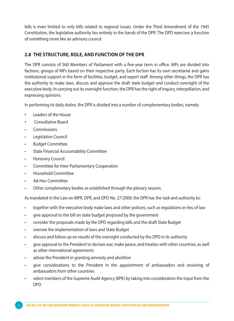bills is even limited to only bills related to regional issues. Under the Third Amendment of the 1945 Constitution, the legislative authority lies entirely in the hands of the DPR. The DPD exercises a function of something more like an advisory council.

## **2.8 The Structure, Role, and Function of the DPR**

The DPR consists of 560 Members of Parliament with a five-year term in office. MPs are divided into factions, groups of MPs based on their respective party. Each faction has its own secretariat and gains institutional support in the form of facilities, budget, and expert staff. Among other things, the DPR has the authority to make laws, discuss and approve the draft state budget and conduct oversight of the executive body. In carrying out its oversight function, the DPR has the right of inquiry, interpellation, and expressing opinions.

In performing its daily duties, the DPR is divided into a number of complementary bodies, namely:

- • Leaders of the House
- Consultative Board
- **Commissions**
- **Legislation Council**
- Budget Committee
- State Financial Accountability Committee
- **Honorary Council**
- Committee for Inter-Parliamentary Cooperation
- Household Committee
- Ad-Hoc Committee
- Other complemetary bodies as established through the plenary session.

As mandated in the Law on MPR, DPR, and DPD No. 27/2009, the DPR has the task and authority to:

- together with the executive body make laws and other policies, such as regulations in-lieu of law
- give approval to the bill on state budget proposed by the government
- consider the proposals made by the DPD regarding bills and the draft State Budget
- oversee the implementation of laws and State Budget
- discuss and follow up on results of the oversight conducted by the DPD in its authority
- give approval to the President to declare war, make peace, and treaties with other countries, as well as other international agreements
- advise the President in granting amnesty and abolition
- give considerations to the President in the appointment of ambassadors and receiving of ambassadors from other countries
- select members of the Supreme Audit Agency (BPK) by taking into consideration the input from the DPD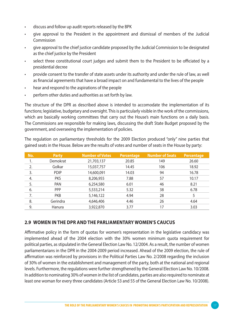- discuss and follow up audit reports released by the BPK
- give approval to the President in the appointment and dismissal of members of the Judicial Commission
- give approval to the chief justice candidate proposed by the Judicial Commission to be designated as the chief justice by the President
- select three constitutional court judges and submit them to the President to be officiated by a presidential decree
- provide consent to the transfer of state assets under its authority and under the rule of law, as well as financial agreements that have a broad impact on and fundamental to the lives of the people
- hear and respond to the aspirations of the people
- perform other duties and authorities as set forth by law.

The structure of the DPR as described above is intended to accomodate the implementation of its functions; legislative, budgetary and oversight. This is particularly visible in the work of the commissions, which are basically working committees that carry out the House's main functions on a daily basis. The Commissions are responsible for making laws, discussing the draft State Budget proposed by the government, and overseeing the implementation of policies.

The regulation on parliamentary thresholds for the 2009 Election produced "only" nine parties that gained seats in the House. Below are the results of votes and number of seats in the House by party:

| <b>Party</b> | <b>Number of Votes</b> | <b>Percentage</b> | <b>Number of Seats</b> | Percentage |
|--------------|------------------------|-------------------|------------------------|------------|
| Demokrat     | 21,703,137             | 20.85             | 149                    | 26.60      |
| Golkar       | 15,037,757             | 14.45             | 106                    | 18.92      |
| <b>PDIP</b>  | 14,600,091             | 14.03             | 94                     | 16.78      |
| <b>PKS</b>   | 8,206,955              | 7.88              | 57                     | 10.17      |
| <b>PAN</b>   | 6,254,580              | 6.01              | 46                     | 8.21       |
| <b>PPP</b>   | 5,533,214              | 5.32              | 38                     | 6.78       |
| <b>PKB</b>   | 5,146,122              | 4.94              | 28                     | 5          |
| Gerindra     | 4,646,406              | 4.46              | 26                     | 4.64       |
| Hanura       | 3,922,870              | 3.77              | 17                     | 3.03       |
|              |                        |                   |                        |            |

### **2.9 Women in the DPR and the Parliamentary Women's Caucus**

Affirmative policy in the form of quotas for women's representation in the legislative candidacy was implemented ahead of the 2004 election with the 30% women minimum quota requirement for political parties, as stipulated in the General Election Law No. 12/2004. As a result, the number of women parliamentarians in the DPR in the 2004-2009 period increased. Ahead of the 2009 election, the rule of affirmation was reinforced by provisions in the Political Parties Law No. 2/2008 regarding the inclusion of 30% of women in the establishment and management of the party, both at the national and regional levels. Furthermore, the regulations were further strengthened by the General Election Law No. 10/2008. In addition to nominating 30% of women in the list of candidates, parties are also required to nominate at least one woman for every three candidates (Article 53 and 55 of the General Election Law No. 10/2008).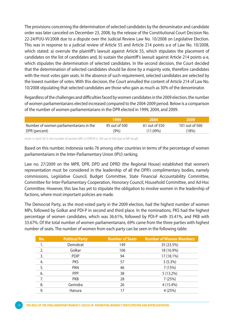The provisions concerning the determination of selected candidates by the denominator and candidate order was later canceled on December 23, 2008, by the release of the Constitutional Court Decision No. 22-24/PUU-VI/2008 due to a dispute over the Judicial Review Law No. 10/2008 on Legislative Election. This was in response to a judicial review of Article 55 and Article 214 points a-e of Law No. 10/2008, which stated: a) overrule the plaintiff's lawsuit against Article 55, which stipulates the placement of candidates on the list of candidates and, b) sustain the plaintiff's lawsuit against Article 214 points a-e, which stipulates the determination of selected candidates. In the second decision, the Court decided that the determination of selected candidates should be done by a majority vote, therefore candidates with the most votes gain seats. In the absence of such requirement, selected candidates are selected by the lowest number of votes. With this decision, the Court annulled the content of Article 214 of Law No. 10/2008 stipulating that selected candidates are those who gain as much as 30% of the denominator.

Regardless of the challenges and difficulties faced by women candidates in the 2009 election, the number of women parliamentarians elected increased compared to the 2004-2009 period. Below is a comparison of the number of women parliamentarians in the DPR elected in 1999, 2004, and 2009.

|                                         | 1999          | .2004\        | -2009          |
|-----------------------------------------|---------------|---------------|----------------|
| Number of women parliamentarians in the | 45 out of 500 | 61 out of 550 | 101 out of 560 |
| DPR (percent)                           | (9% )         | $(11.09\%)$   | (18%)          |

(note: in April 2013, the number of women MPs in DPR RI is 104 out of 560 due to MP recall).

Based on this number, Indonesia ranks 76 among other countries in terms of the percentage of women parliamentarians in the Inter-Parliamentary Union (IPU) ranking.

Law no. 27/2009 on the MPR, DPR, DPD and DPRD (the Regional House) established that women's representation must be considered in the leadership of all the DPR's complimentary bodies, namely commissions, Legislative Council, Budget Committee, State Financial Accountability Committee, Committee for Inter-Parliamentary Cooperation, Honorary Council, Household Committee, and Ad-Hoc Committee. However, this law has yet to stipulate the obligation to involve women in the leadership of factions, where most important policies are made.

The Democrat Party, as the most-voted party in the 2009 election, had the highest number of women MPs, followed by Golkar and PDI-P in second and third place. In the nominations, PKS had the highest percentage of women candidates, which was 36.61%, followed by PDI-P with 35.41%, and PKB with 33.67%. Of the total number of women parliamentarians, 69% came from the three parties with highest number of seats. The number of women from each party can be seen in the following table:

| No. | <b>Political Party</b> | <b>Number of Seats</b> | <b>Number of Women Members</b> |
|-----|------------------------|------------------------|--------------------------------|
| 1.  | Demokrat               | 149                    | 35 (23.5%)                     |
| 2.  | Golkar                 | 106                    | 18 (16.9%)                     |
| 3.  | <b>PDIP</b>            | 94                     | 17 (18.1%)                     |
| 4.  | <b>PKS</b>             | 57                     | $3(5.3\%)$                     |
| 5.  | <b>PAN</b>             | 46                     | 7(15%)                         |
| 6.  | <b>PPP</b>             | 38                     | $5(13.2\%)$                    |
| 7.  | <b>PKB</b>             | 28                     | 7 (25%)                        |
| 8.  | Gerindra               | 26                     | 4 (15.4%)                      |
| 9.  | Hanura                 | 17                     | 4(25%)                         |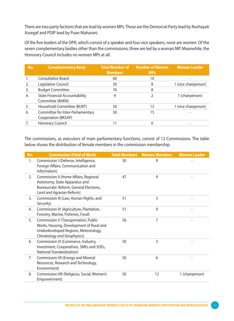There are two party factions that are lead by women MPs. These are the Democrat Party lead by Nurhayati Assegaf and PDIP lead by Puan Maharani.

Of the five leaders of the DPR, which consist of a speaker and four vice speakers, none are women. Of the seven complementary bodies other than the commissions, three are led by a woman MP. Meanwhile, the Honorary Council includes no women MPs at all.

| No. | <b>Complementary Body</b>                                 | <b>Total Number of</b><br><b>Members</b> | <b>Number of Women</b><br><b>MPs</b> | <b>Woman Leader</b>  |
|-----|-----------------------------------------------------------|------------------------------------------|--------------------------------------|----------------------|
| 1.  | <b>Consultative Board</b>                                 | 60                                       | 10                                   |                      |
| 2.  | Legislative Council                                       | 50                                       | 8                                    | 1 (vice chairperson) |
| 3.  | <b>Budget Committee</b>                                   | 76                                       | 8                                    |                      |
| 4.  | <b>State Financial Accountability</b><br>Committee (BAKN) | 9                                        |                                      | 1 (chairperson)      |
| 5.  | Household Committee (BURT)                                | 50                                       | 13                                   | 1 (vice chairperson) |
| 6.  | Committee for Inter-Parliamentary<br>Cooperation (BKSAP)  | 50                                       | 15                                   |                      |
|     | Honorary Council                                          | 11                                       | 0                                    |                      |

The commissions, as executors of main parliamentary functions, consist of 12 Commissions. The table below shows the distribution of female members in the commission membership.

| No. | <b>Commission (Field of Work)</b>                                                                                                                       | <b>Total Members</b> | <b>Women Members</b> | <b>Women Leader</b> |
|-----|---------------------------------------------------------------------------------------------------------------------------------------------------------|----------------------|----------------------|---------------------|
| 1.  | Commission I (Defense, Intelligence,<br>Foreign Affairs, Communication and<br>Information)                                                              | 50                   | 9                    |                     |
| 2.  | Commission II (Home Affairs, Regional<br>Autonomy, State Apparatus and<br>Bureaucratic Reform, General Elections,<br>Land and Agrarian Reform)          | 47                   | 9                    |                     |
| 3.  | Commission III (Law, Human Rights, and<br>Security)                                                                                                     | 51                   | 3                    |                     |
| 4.  | Commission IV (Agriculture, Plantation,<br>Forestry, Marine, Fisheries, Food)                                                                           | 51                   | 9                    |                     |
| 5.  | Commission V (Transportation, Public<br>Works, Housing, Development of Rural and<br>Underdeveloped Regions, Meteorology,<br>Climatology and Geophysics) | 56                   | 7                    |                     |
| 6.  | Commission VI (Commerce, Industry,<br>Investment, Cooperatives, SMEs and SOEs,<br>National Standardization)                                             | 50                   | 3                    |                     |
| 7.  | Commission VII (Energy and Mineral<br>Resources, Research and Technology,<br>Environment)                                                               | 50                   | 6                    |                     |
| 8.  | Commission VIII (Religious, Social, Women's<br>Empowerment)                                                                                             | 50                   | 12                   | 1 (chairperson)     |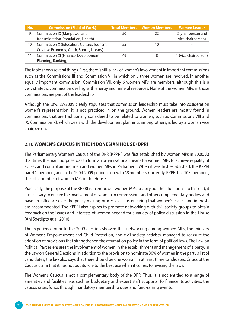| No. | <b>Commission (Field of Work)</b>                                                       |    | <b>Total Members Women Members</b> | <b>Women Leader</b>                     |
|-----|-----------------------------------------------------------------------------------------|----|------------------------------------|-----------------------------------------|
|     | Commission IX (Manpower and<br>transmigration, Population, Health)                      | 50 |                                    | 2 (chairperson and<br>vice chairperson) |
| 10. | Commission X (Education, Culture, Tourism,<br>Creative Economy, Youth, Sports, Library) | 55 | 10                                 |                                         |
|     | Commission XI (Finance, Development<br>Planning, Banking)                               | 49 |                                    | 1 (vice chairperson)                    |

The table shows several things. First, there is still a lack of women's involvement in important commissions such as the Commissions III and Commission VI, in which only three women are involved. In another equally important commission, Commission VII, only 6 women MPs are members, although this is a very strategic commission dealing with energy and mineral resources. None of the women MPs in those commissions are part of the leadership.

Although the Law. 27/2009 clearly stipulates that commission leadership must take into cosideration women's representation; it is not practiced in on the ground. Women leaders are mostly found in commissions that are traditionally considered to be related to women, such as Commissions VIII and IX. Commission XI, which deals with the development planning, among others, is led by a woman vice chairperson.

### **2.10 Women's Caucus in the Indonesian House (DPR)**

The Parliamentary Women's Caucus of the DPR (KPPRI) was first established by women MPs in 2000. At that time, the main purpose was to form an organizational means for women MPs to achieve equality of access and control among men and women MPs in Parliament. When it was first established, the KPPRI had 44 members, and in the 2004-2009 period, it grew to 68 members. Currently, KPPRI has 103 members, the total number of women MPs in the House.

Practically, the purpose of the KPPRI is to empower women MPs to carry out their functions. To this end, it is necessary to ensure the involvement of women in commissions and other complementary bodies, and have an influence over the policy-making processes. Thus ensuring that women's issues and interests are accommodated. The KPPRI also aspires to promote networking with civil society groups to obtain feedback on the issues and interests of women needed for a variety of policy discussion in the House (Ani Soetjipto et.al, 2010).

The experience prior to the 2009 election showed that networking among women MPs, the ministry of Women's Empowerment and Child Protection, and civil society activists, managed to reassure the adoption of provisions that strengthened the affirmation policy in the form of political laws. The Law on Political Parties ensures the involvement of women in the establishment and management of a party. In the Law on General Elections, in addition to the provision to nominate 30% of women in the party's list of candidates, the law also says that there should be one woman in at least three candidates. Critics of the Caucus claim that it has not put its role to the best use when it comes to revising the laws.

The Women's Caucus is not a complementary body of the DPR. Thus, it is not entitled to a range of amenities and facilities like, such as budgetary and expert staff supports. To finance its activities, the caucus raises funds through mandatory membership dues and fund-raising events.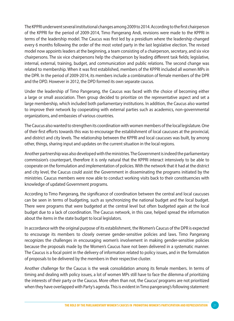The KPPRI underwent several institutional changes among 2009 to 2014. According to the first chairperson of the KPPRI for the period of 2009-2014, Timo Pangerang Andi, revisions were made to the KPPRI in terms of the leadership model. The Caucus was first led by a presidium where the leadership changed every 6 months following the order of the most voted party in the last legislative election. The revised model now appoints leaders at the beginning, a team consisting of a chairperson, secretary, and six vice chairpersons. The six vice chairpersons help the chairperson by leading different task fields; legislative, internal, external, training, budget, and communication and public relations. The second change was related to membership. When it was first established, members of the KPPRI included all women MPs in the DPR. In the period of 2009-2014, its members include a combination of female members of the DPR and the DPD. However in 2012, the DPD formed its own separate caucus.

Under the leadership of Timo Pangerang, the Caucus was faced with the choice of becoming either a large or small association. Then group decided to prioritize on the representative aspect and set a large membership, which included both parliamentary institutions. In addition, the Caucus also wanted to improve their network by cooperating with external parties such as academics, non-governmental organizations, and embassies of various countries.

The Caucus also wanted to strengthen its coordination with women members of the local legislature. One of their first efforts towards this was to encourage the establishment of local caucuses at the provincial, and district and city levels. The relationship between the KPPRI and local caucuses was built, by among other, things, sharing input and updates on the current situation in the local regions.

Another partnership was also developed with the ministries. The Government is indeed the parliamentary commission's counterpart, therefore it is only natural that the KPPRI interact intensively to be able to cooperate on the formulation and implementation of policies. With the network that it had at the district and city level, the Caucus could assist the Government in disseminating the programs initiated by the ministries. Caucus members were now able to conduct working visits back to their constituencies with knowledge of updated Government programs.

According to Timo Pangerang, the significance of coordination between the central and local caucuses can be seen in terms of budgeting, such as synchronizing the national budget and the local budget. There were programs that were budgeted at the central level but often budgeted again at the local budget due to a lack of coordination. The Caucus network, in this case, helped spread the information about the items in the state budget to local legislators.

In accordance with the original purpose of its establishment, the Women's Caucus of the DPR is expected to encourage its members to closely oversee gender-sensitive policies and laws. Timo Pangerang recognizes the challenges in encouraging women's involvement in making gender-sensitive policies because the proposals made by the Women's Caucus have not been delivered in a systematic manner. The Caucus is a focal point in the delivery of information related to policy issues, and in the formulation of proposals to be delivered by the members in their respective cluster.

Another challenge for the Caucus is the weak consolidation among its female members. In terms of timing and dealing with policy issues, a lot of women MPs still have to face the dilemma of prioritizing the interests of their party or the Caucus. More often than not, the Caucus' programs are not prioritized when they have overlapped with Party's agenda. This is evident in Timo pangerang's following statement: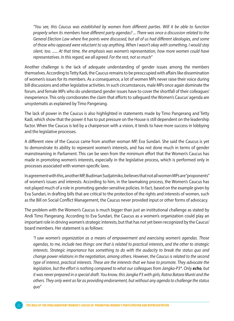*"You see, this Caucus was established by women from different parties. Will it be able to function properly when its members have different party agendas? ... There was once a discussion related to the General Election Law where five points were discussed, but all of us had different ideologies, and some of those who opposed were reluctant to say anything. When I wasn't okay with something, I would stay silent, too. ...... At that time, the emphasis was women's representation, how more women could have representatives. In this regard, we all agreed. For the rest, not so much"*

Another challenge is the lack of adequate understanding of gender issues among the members themselves. According to Tetty Kadi, the Caucus remains to be preoccupied with affairs like dissemination of women's issues for its members. As a consequence, a lot of women MPs never raise their voice during bill discussions and other legislative activities. In such circumstances, male MPs once again dominate the forum, and female MPs who do understand gender issues have to cover the shortfall of their colleagues' inexperience. This only corroborates the claim that efforts to safeguard the Women's Caucus' agenda are unsystematis as explained by Timo Pangerang.

The lack of power in the Caucus is also highlighted in statements made by Timo Pangerang and Tetty Kadi, which show that the power it has to put pressure on the House is still dependent on the leadership factor. When the Caucus is led by a chairperson with a vision, it tends to have more success in lobbying and the legislative processes.

A different view of the Caucus came from another woman MP, Eva Sundari. She said the Caucus is yet to demonstrate its ability to represent women's interests, and has not done much in terms of gender mainstreaming in Parliament. This can be seen from the minimum effort that the Women's Caucus has made in promoting women's interests, especially in the legislative process, which is performed only in processes associated with women-specific laws.

In agreement with this, another MP, Budiman Sudjatmiko, believes that not all women MPs are "proponents" of women's issues and interests. According to him, in the lawmaking process, the Women's Caucus has not played much of a role in promoting gender-sensitive policies. In fact, based on the example given by Eva Sundari, in drafting bills that are critical to the protection of the rights and interests of women, such as the Bill on Social Conflict Management, the Caucus never provided input or other forms of advocacy.

The problem with the Women's Caucus is much bigger than just an institutional challenge as stated by Andi Timo Pangerang. According to Eva Sundari, the Caucus as a women's organization could play an important role in driving women's strategic interests, but that has not yet been recognized by the Caucus' board members. Her statement is as follows:

*"I saw women's organization as a means of empowerment and exercising women's agendas. Those agendas, to me, include two things: one that is related to practical interests, and the other to strategic interests. Strategic importance has something to do with the audacity to break the status quo and change power relations in the negotiation, among others. However, the Caucus is related to the second type of interest, practical interests. These are the interests that we have to promote. They advocate the legislation, but the effort is nothing compared to what our colleagues from Jangka-P3<sup>\*</sup>. Only echo, but it was never prepared in a special draft. You know, this Jangka P3 with girls, Ratna Batara Munti and the others. They only went as far as providing endorsement, but without any agenda to challenge the status quo"*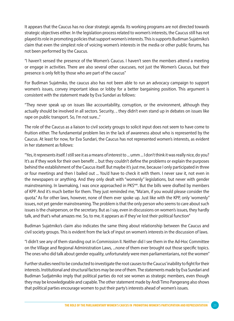It appears that the Caucus has no clear strategic agenda. Its working programs are not directed towards strategic objectives either. In the legislation process related to women's interests, the Caucus still has not played its role in promoting policies that support women's interests. This is supports Budiman Sujatmiko's claim that even the simplest role of voicing women's interests in the media or other public forums, has not been performed by the Caucus.

"I haven't sensed the presence of the Women's Caucus. I haven't seen the members attend a meeting or engage in activities. There are also several other caucuses, not just the Women's Caucus, but their presence is only felt by those who are part of the caucus"

For Budiman Sujatmiko, the caucus also has not been able to run an advocacy campaign to support women's issues, convey important ideas or lobby for a better bargaining position. This argument is consistent with the statement made by Eva Sundari as follows:

"They never speak up on issues like accountability, corruption, or the environment, although they actually should be involved in all sectors. Security, .. they didn't even stand up in debates on issues like rape on public transport. So, I'm not sure..."

The role of the Caucus as a liaison to civil society groups to solicit input does not seem to have come to fruition either. The fundamental problem lies in the lack of awareness about who is represented by the Caucus. At least for now, for Eva Sundari, the Caucus has not represented women's interests, as evident in her statement as follows:

"Yes, it represents itself. I still see it as a means of interest to ... umm ... I don't think it was really nice, do you? It's as if they work for their own benefit ... but they couldn't define the problems or explain the purposes behind the establishment of the Caucus itself. But maybe it's just me, because I only participated in three or four meetings and then I bailed out ... You'd have to check it with them. I never saw it, not even in the newspapers or anything. And they only dealt with "womenly" legislations, but never with gender mainstreaming. In lawmaking, I was once approached in PKS\*\*. But the bills were drafted by members of KPP. And it's much better for them. They just reminded me, "Ma'am, if you would please consider the quota." As for other laws, however, none of them ever spoke up. Just like with the KPP, only 'womenly" issues, not yet gender mainstreaming. The problem is that the only person who seems to care about such issues is the chairperson, or the secretary. But as I say, even in discussions on women's issues, they hardly talk, and that's what amazes me. So, to me, it appears as if they've lost their political function"

Budiman Sujatmiko's claim also indicates the same thing about relationship between the Caucus and civil society groups. This is evident from the lack of input on women's interests in the discussion of laws.

"I didn't see any of them standing out in Commission II. Neither did I see them in the Ad-Hoc Committee on the Village and Regional Administration Laws, ...none of them ever brought out those specific topics. The ones who did talk about gender equality, unfortunately were men parliamentarians, not the women"

Further studies need to be conducted to investigate the root causes to the Caucus' inability to fight for their interests. Institutional and structural factors may be one of them. The statements made by Eva Sundari and Budiman Sudjatmiko imply that political parties do not see women as strategic members, even though they may be knowledgeable and capable. The other statement made by Andi Timo Pangerang also shows that political parties encourage women to put their party's interests ahead of women's issues.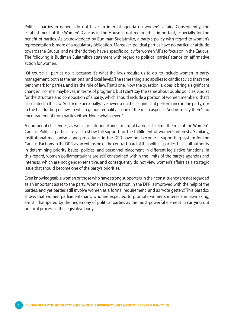Political parties in general do not have an internal agenda on women's affairs. Consequently, the establishment of the Women's Caucus in the House is not regarded as important, especially for the benefit of parties. As acknowledged by Budiman Sudjatmiko, a party's policy with regard to women's representation is more of a regulatory obligation. Moreover, political parties have no particular attitude towards the Caucus, and neither do they have a specific policy for women MPs to focus on in the Caucus. The following is Budiman Sujatmiko's statement with regard to political parties' stance on affirmative action for women.

"Of course all parties do it, because it's what the laws require us to do, to include women in party management, both at the national and local levels. The same thing also applies to candidacy, so that's the benchmark for parties, and it's the rule of law. That's one. Now the question is, does it bring a significant change?.. For me, maybe yes, in terms of programs, but I can't say the same about public policies. And as for the structure and composition of a party, which should include a portion of women members, that's also stated in the law. So, for me personally, I've never seen their significant performance in the party, nor in the bill drafting of laws in which gender equality is one of the main aspects. And normally there's no encouragement from parties either. None whatsoever.."

A number of challenges, as well as institutional and structural barriers still limit the role of the Women's Caucus. Political parties are yet to show full support for the fulfillment of women's interests. Similarly, institutional mechanisms and procedures in the DPR have not become a supporting system for the Caucus. Factions in the DPR, as an extension of the central board of the political parties, have full authority in determining priority issues, policies, and personnel placement in different legislative functions. In this regard, women parliamentarians are still constrained within the limits of the party's agendas and interests, which are not gender-sensitive, and consequently do not view women's affairs as a strategic issue that should become one of the party's priorities.

Even knowledgeable women or those who have strong supporters in their constituency are not regarded as an important asset to the party. Women's representation in the DPR is improved with the help of the parties, and yet parties still involve women as a formal requirement and as "vote getters." This paradox shows that women parliamentarians, who are expected to promote women's interests in lawmaking, are still hampered by the hegemony of political parties as the most powerful element in carrying out political process in the legislative body.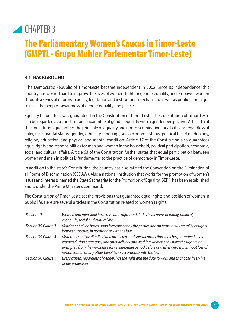## CHAPTER 3

## The Parliamentary Women's Caucus in Timor-Leste (GMPTL - Grupu Muhler Parlementar Timor-Leste)

## **3.1 Background**

 The Democratic Republic of Timor-Leste became independent in 2002. Since its independence, this country has worked hard to improve the lives of women, fight for gender equality, and empower women through a series of reforms in policy, legislation and institutional mechanism, as well as public campaigns to raise the people's awareness of gender equality and justice.

Equality before the law is guaranteed in the Constitution of Timor-Leste. The Constitution of Timor-Leste can be regarded as a constitutional guarantee of gender equality with a gender perspective. Article 16 of the Constitution guarantees the principle of equality and non-discrimination for all citizens regardless of color, race, marital status, gender, ethnicity, language, socioeconomic status, political belief or ideology, religion, education, and physical and mental condition. Article 17 of the Constitution also guarantees equal rights and responsibilities for men and women in the household, political participation, economic, social and cultural affairs. Article 63 of the Constitution further states that equal participation between women and men in politics is fundamental to the practice of democracy in Timor-Leste.

In addition to the state's Constitution, the country has also ratified the Convention on the Elimination of all Forms of Discrimination (CEDAW). Also a national institution that works for the promotion of women's issues and interests named the State Secretariat for the Promotion of Equality (SEPI), has been established and is under the Prime Minister's command.

The Constitution of Timor-Leste set the provisions that guarantee equal rights and position of women in public life. Here are several articles in the Constitution related to women's rights:

| Section 17          | Women and men shall have the same rights and duties in all areas of family, political,<br>economic, social and cultural life                                                                                                                                                                                                                               |
|---------------------|------------------------------------------------------------------------------------------------------------------------------------------------------------------------------------------------------------------------------------------------------------------------------------------------------------------------------------------------------------|
| Section 39 Clause 3 | Marriage shall be based upon free consent by the parties and on terms of full equality of rights<br>between spouses, in accordance with the law                                                                                                                                                                                                            |
| Section 39 Clause 4 | Maternity shall be dignified and protected, and special protection shall be guaranteed to all<br>women during pregnancy and after delivery and working women shall have the right to be<br>exempted from the workplace for an adequate period before and after delivery, without loss of<br>remuneration or any other benefits, in accordance with the law |
| Section 50 Clause 1 | Every citizen, regardless of gender, has the right and the duty to work and to choose freely his<br>or her profession                                                                                                                                                                                                                                      |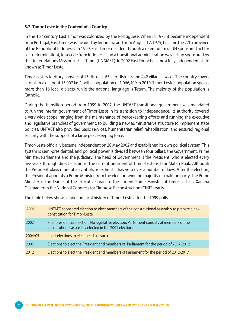#### **3.2. Timor-Leste in the Context of a Country**

In the  $16<sup>th</sup>$  century East Timor was colonized by the Portuguese. When in 1975 it became independent from Portugal, East Timor was invaded by Indonesia and from August 17, 1975, became the 27th province of the Republic of Indonesia. In 1999, East Timor decided through a referendum (a UN sponsored act for self-determination), to secede from Indonesia and a transitional administration was set-up sponsored by the United Nations Mission in East Timor (UNAMET). In 2002 East Timor became a fully independent state known as Timor-Leste,

Timor-Leste's territory consists of 13 districts, 65 sub-districts and 442 villages (*suco*). The country covers a total area of about 15,007 km², with a population of 1,066,409 in 2010. Timor-Leste's population speaks more than 16 local dialects, while the national language is Tetum. The majority of the population is Catholic.

During the transition period from 1999 to 2002, the UNTAET transitional government was mandated to run the interim government of Timor-Leste in its transition to independence. Its authority covered a very wide scope, ranging from the maintenance of peacekeeping efforts and running the executive and legislative branches of government, to building a new administrative structure to implement state policies. UNTAET also provided basic services, humanitarian relief, rehabilitation, and ensured regional security with the support of a large peacekeeping force.

Timor-Leste officially became independent on 20 May 2002 and established its own political system. This system is semi-presidential, and political power is divided between four pillars: the Government, Prime Minister, Parliament and the judiciary. The head of Government is the President, who is elected every five years through direct elections. The current president of Timor-Leste is Taur Matan Ruak. Although the President plays more of a symbolic role, he still has veto over a number of laws. After the election, the President appoints a Prime Minister from the election-winning majority or coalition party. The Prime Minister is the leader of the executive branch. The current Prime Minister of Timor-Leste is Xanana Gusmao from the National Congress for Timorese Reconstruction (CNRT) party.

| 2001    | UNTAET-sponsored election to elect members of the constitutional assembly to prepare a new<br>constitution for Timor-Leste                           |
|---------|------------------------------------------------------------------------------------------------------------------------------------------------------|
| 2002    | First presidential election. No legislative election. Parliament consists of members of the<br>constitutional assembly elected in the 2001 election. |
| 2004/05 | Local elections to elect heads of suco                                                                                                               |
| 2007    | Elections to elect the President and members of Parliament for the period of 2007-2012                                                               |
| 2012    | Elections to elect the President and members of Parliament for the period of 2012-2017                                                               |

The table below shows a brief political history of Timor-Leste after the 1999 polls.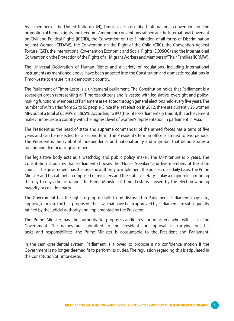As a member of the United Nations (UN), Timor-Leste has ratified international conventions on the promotion of human rights and freedom. Among the conventions ratified are the International Covenant on Civil and Political Rights (ICERD), the Convention on the Elimination of all forms of Discrimination Against Women (CEDAW), the Convention on the Right of the Child (CRC), the Convention Against Torture (CAT), the International Covenant on Economic and Social Rights (ECOSOC) and the International Convention on the Protection of the Rights of all Migrant Workers and Members of Their Families (ICRMW).

The Universal Declaration of Human Rights and a variety of regulations, including international instruments as mentioned above, have been adopted into the Constitution and domestic regulations in Timor-Leste to ensure it is a democratic country.

The Parliament of Timor-Leste is a unicameral parliament. The Constitution holds that Parliament is a sovereign organ representing all Timorese citizens and is vested with legislative, oversight and policymaking functions. Members of Parliament are elected through general elections held every five years. The number of MPs varies from 52 to 65 people. Since the last election in 2012, there are currently 25 women MPs out of a total of 65 MPs, or 38.5%. According to IPU (the Inter-Parliamentary Union), this achievement makes Timor-Leste a country with the highest level of women's representation in parliament in Asia.

The President as the head of state and supreme commander of the armed forces has a term of five years and can be reelected for a second term. The President's term in office is limited to two periods. The President is the symbol of independence and national unity and a symbol that demonstrates a functioning democratic government.

The legislative body acts as a watchdog and public policy maker. The MPs' tenure is 5 years. The Constitution stipulates that Parliament chooses the "House Speaker" and five members of the state council. The government has the task and authority to implement the policies on a daily basis. The Prime Minister and his cabinet -- composed of ministers and the state secretary -- play a major role in running the day-to-day administration. The Prime Minister of Timor-Leste is chosen by the election-winning majority or coalition party.

The Government has the right to propose bills to be discussed in Parliament. Parliament may veto, approve, or revise the bills proposed. The laws that have been approved by Parliament are subsequently ratified by the judicial authority and implemented by the President.

The Prime Minister has the authority to propose candidates for ministers who will sit in the Government. The names are submitted to the President for approval. In carrying out his tasks and responsibilities, the Prime Minister is accountable to the President and Parliament.

In the semi-presidential system, Parliament is allowed to propose a no confidence motion if the Government is no longer deemed fit to perform its duties. The regulation regarding this is stipulated in the Constitution of Timor-Leste.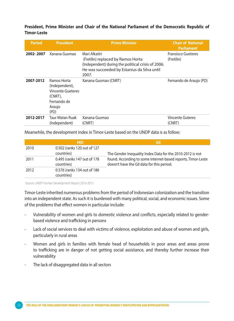#### **President, Prime Minister and Chair of the National Parliament of the Democratic Republic of Timor-Leste**

| <b>Period</b> | <b>President</b>                                                                                      | <b>Prime Minister</b>                                                                                                                                             | <b>Chair of National</b><br>Parliament  |
|---------------|-------------------------------------------------------------------------------------------------------|-------------------------------------------------------------------------------------------------------------------------------------------------------------------|-----------------------------------------|
| 2002-2007     | Xanana Gusmao                                                                                         | Mari Alkatiri<br>(Fretilin) replaced by Ramos Horta<br>(Independent) during the political crisis of 2006.<br>He was succeeded by Estanius da Silva until<br>2007. | <b>Fransisco Gueteres</b><br>(Fretilin) |
| 2007-2012     | Ramos Horta<br>(Independent),<br><b>Vincente Gueteres</b><br>(CNRT),<br>Fernando de<br>Araujo<br>(PD) | Xanana Gusmao (CNRT)                                                                                                                                              | Fernando de Araujo (PD)                 |
| 2012-2017     | <b>Taur Matan Ruak</b><br>(Independent)                                                               | Xanana Gusmao<br>(CNRT)                                                                                                                                           | <b>Vincente Guteres</b><br>(CNRT)       |

Meanwhile, the development index in Timor-Leste based on the UNDP data is as follow:

|      | <b>HDI</b>                                | GII                                                                                                        |
|------|-------------------------------------------|------------------------------------------------------------------------------------------------------------|
| 2010 | 0.502 (ranks 120 out of 127<br>countries) | The Gender Inequality Index Data for the 2010-2012 is not                                                  |
| 2011 | 0.495 (ranks 147 out of 178<br>countries) | found. According to some Internet-based reports, Timor-Leste<br>doesn't have the GII data for this period. |
| 2012 | 0.576 (ranks 134 out of 186<br>countries) |                                                                                                            |

Source: UNDP Human Development Report 2010-2013

Timor-Leste inherited numerous problems from the period of Indonesian colonization and the transition into an independent state. As such it is burdened with many political, social, and economic issues. Some of the problems that effect women in particular include:

- Vulnerability of women and girls to domestic violence and conflicts, especially related to genderbased violence and trafficking in persons
- Lack of social services to deal with victims of violence, exploitation and abuse of women and girls, particularly in rural areas
- Women and girls in families with female head of households in poor areas and areas prone to trafficking are in danger of not getting social assistance, and thereby further increase their vulnerability
- The lack of disaggregated data in all sectors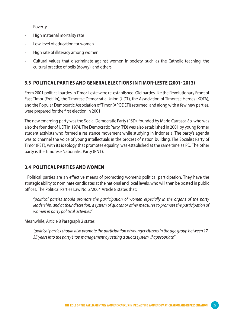- **Poverty**
- High maternal mortality rate
- Low level of education for women
- High rate of illiteracy among women
- Cultural values that discriminate against women in society, such as the Catholic teaching, the cultural practice of belis (dowry), and others

#### **3.3 Political Parties and General Elections in Timor-Leste (2001- 2013)**

From 2001 political parties in Timor-Leste were re-established. Old parties like the Revolutionary Front of East TImor (Fretilin), the Timorese Democratic Union (UDT), the Association of Timorese Heroes (KOTA), and the Popular Democratic Association of Timor (APODETI) returned, and along with a few new parties, were prepared for the first election in 2001.

The new emerging party was the Social Democratic Party (PSD), founded by Mario Carrascalão, who was also the founder of UDT in 1974. The Democratic Party (PD) was also established in 2001 by young former student activists who formed a resistance movement while studying in Indonesia. The party's agenda was to channel the voice of young intellectuals in the process of nation building. The Socialist Party of Timor (PST), with its ideology that promotes equality, was established at the same time as PD. The other party is the Timorese Nationalist Party (PNT).

#### **3.4 Political Parties and Women**

Political parties are an effective means of promoting women's political participation. They have the strategic ability to nominate candidates at the national and local levels, who will then be posted in public offices. The Political Parties Law No. 2/2004 Article 8 states that:

"*political parties should promote the participation of women especially in the organs of the party leadership, and at their discretion, a system of quotas or other measures to promote the participation of women in party political activities"*

Meanwhile, Article 8 Paragraph 2 states:

*"political parties should also promote the participation of younger citizens in the age group between 17- 35 years into the party's top management by setting a quota system, if appropriate"*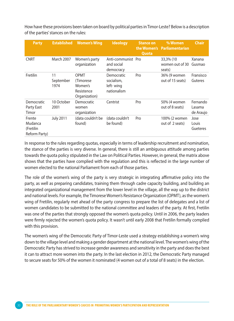How have these provisions been taken on board by political parties in Timor-Leste? Below is a description of the parties' stances on the rules:

| <b>Party</b>                                    | <b>Established</b>      | <b>Women's Wing</b>                                         | <b>Ideology</b>                                      | <b>Stance on</b><br>Quota | % Women<br>the Women's Parliamentarian | <b>Chair</b>                    |
|-------------------------------------------------|-------------------------|-------------------------------------------------------------|------------------------------------------------------|---------------------------|----------------------------------------|---------------------------------|
| <b>CNRT</b>                                     | March 2007              | Women's party<br>organization                               | Anti-communist Pro<br>and social<br>democracy        |                           | 33,3% (10<br>women out of 30<br>seats) | Xanana<br>Gusmao                |
| Fretilin                                        | 11<br>September<br>1974 | OPMT<br>(Timorese<br>Women's<br>Resistence<br>Organization) | Democratic<br>socialism,<br>left-wing<br>nationalism | Pro                       | 36% (9 women<br>out of 15 seats)       | Fransisco<br>Guteres            |
| Democratic<br>Party East<br>Timor               | 10 October<br>2001      | Democratic<br>women<br>organization                         | Centrist                                             | Pro                       | 50% (4 women<br>out of 8 seats)        | Fernando<br>Lasama<br>de Araujo |
| Frente<br>Mudanca<br>(Fretilin<br>Reform Party) | <b>July 2011</b>        | (data couldn't be<br>found)                                 | (data couldn't<br>be found)                          | Pro                       | 100% (2 women<br>out of 2 seats)       | Jose<br>Louis<br>Gueteres       |

In response to the rules regarding quotas, especially in terms of leadership recruitment and nomination, the stance of the parties is very diverse. In general, there is still an ambiguous attitude among parties towards the quota policy stipulated in the Law on Political Parties. However, in general, the matrix above shows that the parties have complied with the regulation and this is reflected in the large number of women elected to the national Parliament from each of those parties.

The role of the women's wing of the party is very strategic in integrating affirmative policy into the party, as well as preparing candidates, training them through cadre capacity building, and building an integrated organizational management from the lower level in the village, all the way up to the district and national levels. For example, the Timorese Women's Resistance Organization (OPMT), as the women's wing of Fretilin, regularly met ahead of the party congress to prepare the list of delegates and a list of women candidates to be submitted to the national committee and leaders of the party. At first, Fretilin was one of the parties that strongly opposed the women's quota policy. Until in 2006, the party leaders were firmly rejected the women's quota policy. It wasn't until early 2008 that Fretilin formally complied with this provision.

The women's wing of the Democratic Party of Timor-Leste used a strategy establishing a women's wing down to the village level and making a gender department at the national level. The women's wing of the Democratic Party has strived to increase gender awareness and sensitivity in the party and does the best it can to attract more women into the party. In the last election in 2012, the Democratic Party managed to secure seats for 50% of the women it nominated (4 women out of a total of 8 seats) in the election.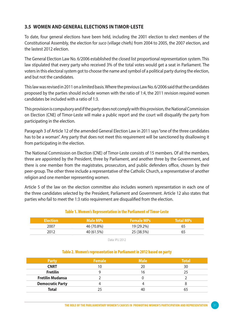#### **3.5 Women and General Elections in Timor-Leste**

To date, four general elections have been held, including the 2001 election to elect members of the Constitutional Assembly, the election for *suco* (village chiefs) from 2004 to 2005, the 2007 election, and the lastest 2012 election.

The General Election Law No. 6/2006 established the closed list proportional representation system. This law stipulated that every party who received 3% of the total votes would get a seat in Parliament. The voters in this electoral system got to choose the name and symbol of a political party during the election, and but not the candidates.

This law was revised in 2011 on a limited basis. Where the previous Law No. 6/2006 said that the candidates proposed by the parties should include women with the ratio of 1:4, the 2011 revision required women candidates be included with a ratio of 1:3.

This provision is compulsory and if the party does not comply with this provision, the National Commission on Election (CNE) of Timor-Leste will make a public report and the court will disqualify the party from participating in the election.

Paragraph 3 of Article 12 of the amended General Election Law in 2011 says "one of the three candidates has to be a woman". Any party that does not meet this requirement will be sanctioned by disallowing it from participating in the election.

The National Commission on Election (CNE) of Timor-Leste consists of 15 members. Of all the members, three are appointed by the President, three by Parliament, and another three by the Government, and there is one member from the magistrates, prosecutors, and public defenders office, chosen by their peer-group. The other three include a representative of the Catholic Church, a representative of another religion and one member representing women.

Article 5 of the law on the election committee also includes women's representation in each one of the three candidates selected by the President, Parliament and Government. Article 12 also states that parties who fail to meet the 1:3 ratio requirement are disqualified from the election.

#### Table 1. Women's Representation in the Parliament of Timor-Leste

| <b>Election</b> | Male MPs   | <b>Female MPs</b> | <b>Total MPs</b> |
|-----------------|------------|-------------------|------------------|
| 2007            | 46 (70.8%) | 19 (29.2%)        | 65               |
| 2012            | 40 (61.5%) | 25 (38.5%)        | 65               |

Data: IPU 2012

#### Table 2. Women's representation in Parliament in 2012 based on party

| <b>Party</b>            | <b>Female</b> | <b>Male</b> | <b>Total</b> |
|-------------------------|---------------|-------------|--------------|
| <b>CNRT</b>             | 10            | 20          | 30           |
| <b>Fretilin</b>         |               | 16          | 75           |
| <b>Fretilin Mudansa</b> |               |             |              |
| <b>Democratic Party</b> |               |             |              |
| <b>Total</b>            |               | 40          |              |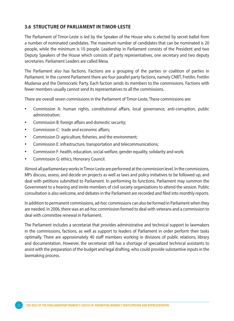#### **3.6 Structure of Parliament in Timor-Leste**

The Parliament of Timor-Leste is led by the Speaker of the House who is elected by secret ballot from a number of nominated candidates. The maximum number of candidates that can be nominated is 20 people, while the minimum is 10 people. Leadership in Parliament consists of the President and two Deputy Speakers of the House which consists of party representatives, one secretary and two deputy secretaries. Parliament Leaders are called Mesa.

The Parliament also has factions. Factions are a grouping of the parties or coalition of parties in Parliament. In the current Parliament there are four parallel party factions, namely CNRT, Fretilin, Fretilin Mudansa and the Democratic Party. Each faction sends its members to the commissions. Factions with fewer members usually cannot send its representatives to all the commissions.

There are overall seven commissions in the Parliament of Timor-Leste, These commissions are:

- Commission A: human rights, constitutional affairs, local governance, anti-corruption, public administration;
- Commission B: foreign affairs and domestic security;
- Commission C: trade and economic affairs;
- Commission D: agriculture, fisheries, and the environment;
- Commission E: infrastructure, transportation and telecommunications;
- Commission F: health, education, social welfare, gender equality, solidarity and work;
- Commission G: ethics, Honorary Council.

Almost all parliamentary works in Timor-Leste are performed at the commission level. In the commissions, MPs discuss, assess, and decide on projects as well as laws and policy initiatives to be followed up, and deal with petitions submitted to Parliament. In performing its functions, Parliament may summon the Government to a hearing and invite members of civil society organizations to attend the session. Public consultation is also welcome, and debates in the Parliament are recorded and filed into monthly reports.

In addition to permanent commissions, ad-hoc commissions can also be formed in Parliament when they are needed. In 2006, there was an ad-hoc commission formed to deal with veterans and a commission to deal with committee renewal in Parliament.

The Parliament includes a secretariat that provides administrative and technical support to lawmakers in the commissions, factions, as well as support to leaders of Parliament in order perform their tasks optimally. There are approximately 40 staff members working in divisions of public relations, library and documentation. However, the secretariat still has a shortage of specialized technical assistants to assist with the preparation of the budget and legal drafting, who could provide substantive inputs in the lawmaking process.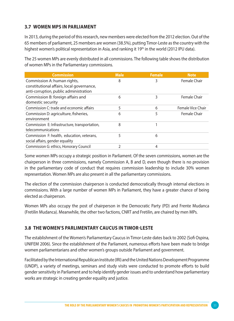## **3.7 Women MPs in Parliament**

In 2013, during the period of this research, new members were elected from the 2012 election. Out of the 65 members of parliament, 25 members are women (38.5%), putting Timor-Leste as the country with the highest women's political representation in Asia, and ranking it 19th in the world (2012 IPU data).

The 25 women MPs are evenly distributed in all commissions. The following table shows the distribution of women MPs in the Parliamentary commissions.

| <b>Commission</b>                             | <b>Male</b> | <b>Female</b> | <b>Note</b>       |
|-----------------------------------------------|-------------|---------------|-------------------|
| Commission A: human rights,                   | 8           | 3             | Female Chair      |
| constitutional affairs, local governance,     |             |               |                   |
| anti-corruption, public administration        |             |               |                   |
| Commission B: foreign affairs and             | 6           | 3             | Female Chair      |
| domestic security                             |             |               |                   |
| Commission C: trade and economic affairs      | 5           | 6             | Female Vice Chair |
| Commission D: agriculture, fisheries,         | 6           | 5             | Female Chair      |
| environment                                   |             |               |                   |
| Commission E: Infrastructure, transportation, | 8           |               |                   |
| telecommunications                            |             |               |                   |
| Commission F: health, education, veterans,    | 5           | 6             |                   |
| social affairs, gender equality               |             |               |                   |
| Commission G: ethics, Honorary Council        | 2           | 4             |                   |

Some women MPs occupy a strategic position in Parliament. Of the seven commissions, women are the chairperson in three commissions, namely Commission A, B and D, even though there is no provision in the parliamentary code of conduct that requires commission leadership to include 30% women representation. Women MPs are also present in all the parliamentary commissions.

The election of the commission chairperson is conducted democratically through internal elections in commissions. With a large number of women MPs in Parliament, they have a greater chance of being elected as chairperson.

Women MPs also occupy the post of chairperson in the Democratic Party (PD) and Frente Mudanca (Fretilin Mudanca). Meanwhile, the other two factions, CNRT and Fretilin, are chaired by men MPs.

### **3.8 The Women's Parlimentary Caucus in Timor-Leste**

The establishment of the Women's Parliamentary Caucus in Timor-Leste dates back to 2002 (Sofi Ospina, UNIFEM 2006). Since the establishment of the Parliament, numerous efforts have been made to bridge women parliamentarians and other women's groups outside Parliament and government.

Facilitated by the International Republican Institute (IRI) and the United Nations Development Programme (UNDP), a variety of meetings, seminars and study visits were conducted to promote efforts to build gender sensitivity in Parliament and to help identify gender issues and to understand how parliamentary works are strategic in creating gender equality and justice.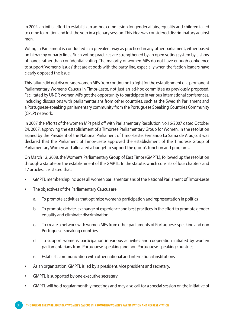In 2004, an initial effort to establish an ad-hoc commission for gender affairs, equality and children failed to come to fruition and lost the veto in a plenary session. This idea was considered discriminatory against men.

Voting in Parliament is conducted in a prevalent way as practiced in any other parliament, either based on hierarchy or party lines. Such voting practices are strengthened by an open voting system by a show of hands rather than confidential voting. The majority of women MPs do not have enough confidence to support 'women's issues' that are at odds with the party line, especially when the faction leaders have clearly opposed the issue*.*

This failure did not discourage women MPs from continuing to fight for the establishment of a permanent Parliamentary Women's Caucus in Timor-Leste, not just an ad-hoc committee as previously proposed. Facilitated by UNDP, women MPs got the opportunity to participate in various international conferences, including discussions with parliamentarians from other countries, such as the Swedish Parliament and a Portuguese-speaking parliamentary community from the Portuguese Speaking Countries Community (CPLP) network.

In 2007 the efforts of the women MPs paid off with Parliamentary Resolution No.16/2007 dated October 24, 2007, approving the establishment of a Timorese Parliamentary Group for Women. In the resolution signed by the President of the National Parliament of Timor-Leste, Fernando La Sama de Araujo, it was declared that the Parliament of Timor-Leste approved the establishment of the Timorese Group of Parliamentary Women and allocated a budget to support the group's function and programs.

On March 12, 2008, the Women's Parliamentary Group of East Timor (GMPTL), followed up the resolution through a statute on the establishment of the GMPTL. In the statute, which consists of four chapters and 17 articles, it is stated that:

- GMPTL membership includes all women parliamentarians of the National Parliament of Timor-Leste
- The objectives of the Parliamentary Caucus are:
	- a. To promote activities that optimize women's participation and representation in politics
	- b. To promote debate, exchange of experience and best practices in the effort to promote gender equality and eliminate discrimination
	- c. To create a network with women MPs from other parliaments of Portuguese-speaking and non Portuguese-speaking countries
	- d. To support women's participation in various activities and cooperation initiated by women parliamentarians from Portuguese-speaking and non Portuguese-speaking countries
	- e. Establish communication with other national and international institutions
- As an organization, GMPTL is led by a president, vice president and secretary.
- • GMPTL is supported by one executive secretary.
- GMPTL will hold regular monthly meetings and may also call for a special session on the initiative of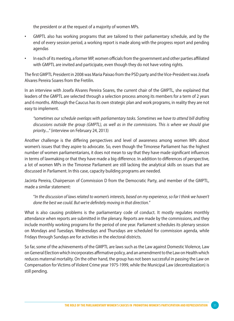the president or at the request of a majority of women MPs.

- • GMPTL also has working programs that are tailored to their parliamentary schedule, and by the end of every session period, a working report is made along with the progress report and pending agendas
- • In each of its meeting, a former MP, women officials from the government and other parties affiliated with GMPTL are invited and participate, even though they do not have voting rights.

The first GMPTL President in 2008 was Maria Paixao from the PSD party and the Vice-President was Josefa Alvares Pereira Soares from the Fretilin.

In an interview with Josefa Alvares Pereira Soares, the current chair of the GMPTL, she explained that leaders of the GMPTL are selected through a selection process among its members for a term of 2 years and 6 months. Although the Caucus has its own strategic plan and work programs, in reality they are not easy to implement.

*"sometimes our schedule overlaps with parliamentary tasks. Sometimes we have to attend bill drafting discussions outside the group (GMPTL), as well as in the commissions. This is where we should give priority...."* (interview on February 24, 2013)

Another challenge is the differing perspectives and level of awareness among women MPs about women's issues that they aspire to advocate. So, even though the Timorese Parliament has the highest number of women parliamentarians, it does not mean to say that they have made significant influences in terms of lawmaking or that they have made a big difference. In addition to differences of perspective, a lot of women MPs in the Timorese Parliament are still lacking the analytical skills on issues that are discussed in Parliament. In this case, capacity building programs are needed.

Jacinta Pereira, Chairperson of Commission D from the Democratic Party, and member of the GMPTL, made a similar statement:

"*In the discussion of laws related to women's interests, based on my experience, so far I think we haven't done the best we could. But we're definitely moving in that direction.*"

What is also causing problems is the parliamentary code of conduct. It mostly regulates monthly attendance when reports are submitted in the plenary. Reports are made by the commissions, and they include monthly working programs for the period of one year. Parliament schedules its plenary session on Mondays and Tuesdays. Wednesdays and Thursdays are scheduled for commission agenda, while Fridays through Sundays are for activities in the electoral districts.

So far, some of the achievements of the GMPTL are laws such as the Law against Domestic Violence, Law on General Election which incorporates affirmative policy, and an amendment to the Law on Health which reduces maternal mortality. On the other hand, the group has not been successful in passing the Law on Compensation for Victims of Violent Crime year 1975-1999, while the Municipal Law (decentralization) is still pending.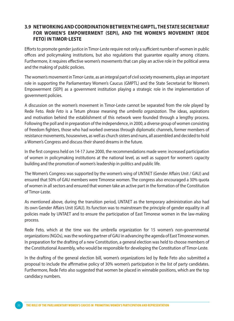#### **3.9 Networkingand Coordinationbetweenthe GMPTL, the State Secretariat for Women's Empowerment (SEPI), and the Women's Movement (Rede Feto) in Timor-Leste**

Efforts to promote gender justice in Timor-Leste require not only a sufficient number of women in public offices and policymaking institutions, but also regulations that guarantee equality among citizens. Furthermore, it requires effective women's movements that can play an active role in the political arena and the making of public policies.

The women's movement in Timor-Leste, as an integral part of civil society movements, plays an important role in supporting the Parliamentary Women's Caucus (GMPTL) and the State Secretariat for Women's Empowerment (SEPI) as a government institution playing a strategic role in the implementation of government policies.

A discussion on the women's movement in Timor-Leste cannot be separated from the role played by Rede Feto. *Rede Feto* is a Tetum phrase meaning the *umbrella organization*. The ideas, aspirations and motivation behind the establishment of this network were founded through a lengthy process. Following the poll and in preparation of the independence, in 2000, a diverse group of women consisting of freedom fighters, those who had worked overseas through diplomatic channels, former members of resistance movements, housewives, as well as church sisters and nuns, all assembled and decided to hold a Women's Congress and discuss their shared dreams in the future.

In the first congress held on 14-17 June 2000, the recommendations made were: increased participation of women in policymaking institutions at the national level, as well as support for women's capacity building and the promotion of women's leadership in politics and public life.

The Women's Congress was supported by the women's wing of UNTAET (Gender Affairs Unit / GAU) and ensured that 50% of GAU members were Timorese women. The congress also encouraged a 30% quota of women in all sectors and ensured that women take an active part in the formation of the Constitution of Timor-Leste.

As mentioned above, during the transition period, UNTAET as the temporary administration also had its own Gender Affairs Unit (GAU). Its function was to mainstream the principle of gender equality in all policies made by UNTAET and to ensure the participation of East Timorese women in the law-making process.

Rede Feto, which at the time was the umbrella organization for 15 women's non-governmental organizations (NGOs), was the working partner of GAU in advancing the agenda of East Timorese women. In preparation for the drafting of a new Constitution, a general election was held to choose members of the Constitutional Assembly, who would be responsible for developing the Constitution of Timor-Leste.

In the drafting of the general election bill, women's organizations led by Rede Feto also submitted a proposal to include the affirmative policy of 30% women's participation in the list of party candidates. Furthermore, Rede Feto also suggested that women be placed in winnable positions, which are the top candidacy numbers.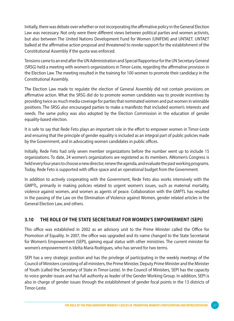Initially, there was debate over whether or not incorporating the affirmative policy in the General Election Law was necessary. Not only were there different views between political parties and women activists, but also between The United Nations Development Fund for Women (UNIFEM) and UNTAET. UNTAET balked at the affirmative action proposal and threatened to revoke support for the establishment of the Constitutional Assembly if the quota was enforced.

Tensions came to an end after the UN Administration and Special Rapporteur for the UN Secretary General (SRSG) held a meeting with women's organizations in Timor-Leste, regarding the affirmative provision in the Election Law. The meeting resulted in the training for 100 women to promote their candidacy in the Constitutional Assembly.

The Election Law made to regulate the election of General Assembly did not contain provisions on affirmative action. What the SRSG did do to promote women candidates was to provide incentives by providing twice as much media coverage for parties that nominated women and put women in winnable positions. The SRSG also encouraged parties to make a manifesto that included women's interests and needs. The same policy was also adopted by the Election Commission in the education of gender equality-based election.

It is safe to say that Rede Feto plays an important role in the effort to empower women in Timor-Leste and ensuring that the principle of gender equality is included as an integral part of public policies made by the Government, and in advocating women candidates in public offices.

Initially, Rede Feto had only seven member organizations before the number went up to include 15 organizations. To date, 24 women's organizations are registered as its members. AWomen's Congress is held every four years to choose a new director, renew the agenda, and evaluate the past working programs. Today, Rede Feto is supported with office space and an operational budget from the Government.

In addition to actively cooperating with the Government, Rede Feto also works intensively with the GMPTL, primarily in making policies related to urgent women's issues, such as maternal mortality, violence against women, and women as agents of peace. Collaboration with the GMPTL has resulted in the passing of the Law on the Elimination of Violence against Women, gender related articles in the General Election Law, and others.

### **3.10 The Role of the State Secretariat for Women's Empowerment (SEPI)**

This office was established in 2002 as an advisory unit to the Prime Minister called the Office for Promotion of Equality. In 2007, the office was upgraded and its name changed to the State Secretariat for Women's Empowerment (SEPI), gaining equal status with other ministries. The current minister for women's empowerment is Idelta Maria Rodrigues, who has served for two terms.

SEPI has a very strategic position and has the privilege of participating in the weekly meetings of the Council of Ministers consisting of all ministers, the Prime Minister, Deputy Prime Minister and the Minister of Youth (called the Secretary of State in Timor-Leste). In the Council of Ministers, SEPI has the capacity to voice gender issues and has full authority as leader of the Gender Working Group. In addition, SEPI is also in charge of gender issues through the establishment of gender focal points in the 13 districts of Timor-Leste.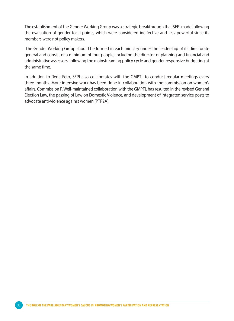The establishment of the Gender Working Group was a strategic breakthrough that SEPI made following the evaluation of gender focal points, which were considered ineffective and less powerful since its members were not policy makers.

 The Gender Working Group should be formed in each ministry under the leadership of its directorate general and consist of a minimum of four people, including the director of planning and financial and administrative assessors, following the mainstreaming policy cycle and gender responsive budgeting at the same time.

In addition to Rede Feto, SEPI also collaborates with the GMPTL to conduct regular meetings every three months. More intensive work has been done in collaboration with the commission on women's affairs, Commission F. Well-maintained collaboration with the GMPTL has resulted in the revised General Election Law, the passing of Law on Domestic Violence, and development of integrated service posts to advocate anti-violence against women (PTP2A).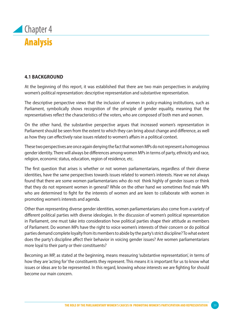

### **4.1 Background**

At the beginning of this report, it was established that there are two main perspectives in analyzing women's political representation: descriptive representation and substantive representation.

The descriptive perspective views that the inclusion of women in policy-making institutions, such as Parliament, symbolically shows recognition of the principle of gender equality, meaning that the representatives reflect the characteristics of the voters, who are composed of both men and women.

On the other hand, the substantive perspective argues that increased women's representation in Parliament should be seen from the extent to which they can bring about change and difference, as well as how they can effectively raise issues related to women's affairs in a political context.

These two perspectives are once again denying the fact that women MPs do not represent a homogenous gender identity. There will always be differences among women MPs in terms of party, ethnicity and race, religion, economic status, education, region of residence, etc.

The first question that arises is whether or not women parliamentarians, regardless of their diverse identities, have the same perspectives towards issues related to women's interests. Have we not always found that there are some women parliamentarians who do not think highly of gender issues or think that they do not represent women in general? While on the other hand we sometimes find male MPs who are determined to fight for the interests of women and are keen to collaborate with women in promoting women's interests and agenda.

Other than representing diverse gender identities, women parliamentarians also come from a variety of different political parties with diverse ideologies. In the discussion of women's political representation in Parliament, one must take into consideration how political parties shape their attitude as members of Parliament. Do women MPs have the right to voice women's interests of their concern or do political parties demand complete loyalty from its members to abide by the party's strict discipline? To what extent does the party's discipline affect their behavior in voicing gender issues? Are women parliamentarians more loyal to their party or their constituents?

Becoming an MP, as stated at the beginning, means measuring 'substantive representation', in terms of how they are 'acting for' the constituents they represent. This means it is important for us to know what issues or ideas are to be represented. In this regard, knowing whose interests we are fighting for should become our main concern.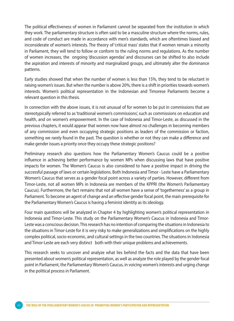The political effectiveness of women in Parliament cannot be separated from the institution in which they work. The parliamentary structure is often said to be a masculine structure where the norms, rules, and code of conduct are made in accordance with men's standards, which are oftentimes biased and inconsiderate of women's interests. The theory of 'critical mass' states that if women remain a minority in Parliament, they will tend to follow or conform to the ruling norms and regulations. As the number of women increases, the ongoing 'discussion agendas' and discourses can be shifted to also include the aspiration and interests of minority and marginalized groups, and ultimately alter the dominance patterns.

Early studies showed that when the number of women is less than 15%, they tend to be reluctant in raising women's issues. But when the number is above 20%, there is a shift in priorities towards women's interests. Women's political representation in the Indonesian and Timorese Parliaments become a relevant question in this thesis.

In connection with the above issues, it is not unusual of for women to be put in commissions that are stereotypically referred to as 'traditional women's commissions', such as commissions on education and health, and on women's empowerment. In the case of Indonesia and Timor-Leste, as discussed in the previous chapters, it would appear that women now have almost no challenges in becoming members of any commission and even occupying strategic positions as leaders of the commission or faction, something we rarely found in the past. The question is whether or not they can make a difference and make gender issues a priority once they occupy these strategic positions?

Preliminary research also questions how the Parliamentary Women's Caucus could be a positive influence in achieving better performance by women MPs when discussing laws that have positive impacts for women. The Women's Caucus is also considered to have a positive impact in driving the successful passage of laws or certain legislations. Both Indonesia and Timor - Leste have a Parliamentary Women's Caucus that serves as a gender focal point across a variety of parties. However, different from Timor-Leste, not all women MPs in Indonesia are members of the KPPRI (the Women's Parliamentary Caucus). Furthermore, the fact remains that not all women have a sense of 'togetherness' as a group in Parliament. To become an agent of change and an effective gender focal point, the main prerequisite for the Parliamentary Women's Caucus is having a feminist identity as its ideology.

Four main questions will be analyzed in Chapter 4 by highlighting women's political representation in Indonesia and Timor-Leste. This study on the Parliamentary Women's Caucus in Indonesia and Timor-Leste was a conscious decision. This research has no intention of comparing the situations in Indonesia to the situations in Timor-Leste for it is very risky to make generalizations and simplifications on the highly complex political, socio-economic, and cultural settings in the two countries. The situations in Indonesia and Timor-Leste are each very distinct both with their unique problems and achievements.

This research seeks to uncover and analyze what lies behind the facts and the data that have been presented about women's political representation, as well as analyze the role played by the gender focal point in Parliament, the Parliamentary Women's Caucus, in voicing women's interests and urging change in the political process in Parliament.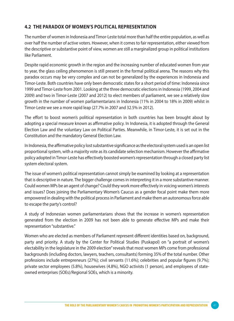## **4.2 The Paradox of Women's Political Representation**

The number of women in Indonesia and Timor-Leste total more than half the entire population, as well as over half the number of active voters. However, when it comes to fair representation, either viewed from the descriptive or substantive point of view, women are still a marginalized group in political institutions like Parliament.

Despite rapid economic growth in the region and the increasing number of educated women from year to year, the glass ceiling phenomenon is still present in the formal political arena. The reasons why this paradox occurs may be very complex and can not be generalized by the experiences in Indonesia and Timor-Leste. Both countries have only been democratic states for a short period of time: Indonesia since 1999 and Timor-Leste from 2001. Looking at the three democratic elections in Indonesia (1999, 2004 and 2009) and two in Timor-Leste (2007 and 2012) to elect members of parliament, we see a relatively slow growth in the number of women parliamentarians in Indonesia (11% in 2004 to 18% in 2009) whilst in Timor-Leste we see a more rapid leap (27.7% in 2007 and 32.5% in 2012).

The effort to boost women's political representation in both countries has been brought about by adopting a special measure known as affirmative policy. In Indonesia, it is adopted through the General Election Law and the voluntary Law on Political Parties. Meanwhile, in Timor-Leste, it is set out in the Constitution and the mandatory General Election Law.

In Indonesia, the affirmative policy lost substantive significance as the electoral system used is an open list proportional system, with a majority vote as its candidate selection mechanism. However the affirmative policy adopted in Timor-Leste has effectively boosted women's representation through a closed party list system electoral system.

The issue of women's political representation cannot simply be examined by looking at a representation that is descriptive in nature. The bigger challenge comes in interpreting it in a more substantive manner. Could women MPs be an agent of change? Could they work more effectively in voicing women's interests and issues? Does joining the Parliamentary Women's Caucus as a gender focal point make them more empowered in dealing with the political process in Parliament and make them an autonomous force able to escape the party's control?

A study of Indonesian women parliamentarians shows that the increase in women's representation generated from the election in 2009 has not been able to generate effective MPs and make their representation "substantive."

Women who are elected as members of Parliament represent different identities based on, background, party and priority. A study by the Center for Political Studies (Puskapol) on "a portrait of women's electability in the legislature in the 2009 election" reveals that most women MPs come from professional backgrounds (including doctors, lawyers, teachers, consultants) forming 35% of the total number. Other professions include entrepreneurs (27%); civil servants (11.6%); celebrities and popular figures (9.7%); private sector employees (5.8%), housewives (4.8%), NGO activists (1 person), and employees of stateowned enterprises (SOEs)/Regional SOEs, which is a minority.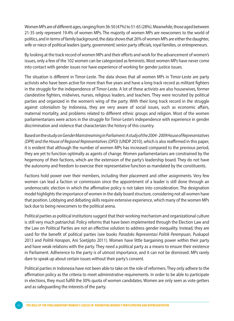Women MPs are of different ages, ranging from 36-50 (47%) to 51-65 (28%). Meanwhile, those aged between 21-35 only represent 19.4% of women MPs. The majority of women MPs are newcomers to the world of politics, and in terms of family background, the data shows that 26% of women MPs are either the daughter, wife or niece of political leaders (party, government) senior party officials, royal families, or entrepreneurs.

By looking at the track record of women MPs and their efforts and work for the advancement of women's issues, only a few of the 102 women can be categorized as feminists. Most women MPs have never come into contact with gender issues nor have experience of working for gender justice issues.

The situation is different in Timor-Leste. The data shows that all women MPs in Timor-Leste are party activists who have been active for more than five years and have a long track record as militant fighters in the struggle for the independence of Timor-Leste. A lot of these activists are also housewives, former clandestine fighters, midwives, nurses, religious leaders, and teachers. They were recruited by political parties and organized in the women's wing of the party. With their long track record in the struggle against colonialism by Indonesia, they are very aware of social issues, such as economic affairs, maternal mortality, and problems related to different ethnic groups and religion. Most of the women parliamentarians were actors in the struggle for Timor-Leste's independence with experience in gender discrimination and violence that characterizes the history of this country.

Based on the study on *Gender Mainstreaming in Parliament: A study of the 2004 - 2009 House of Representatives (DPR) and the House of Regional Representatives (DPD)* (UNDP 2010), which is also reaffirmed in this paper, it is evident that although the number of women MPs has increased compared to the previous period, they are yet to function optimally as agents of change. Women parliamentarians are constrained by the hegemony of their factions, which are the extension of the party's leadership board. They do not have the autonomy and freedom to exercise their representative function as mandated by the constituents.

Factions hold power over their members, including their placement and other assignments. Very few women can lead a faction or commission since the appointment of a leader is still done through an undemocratic election in which the affirmative policy is not taken into consideration. The designation model highlights the importance of women in the daily board structure, considering not all women have that position. Lobbying and debating skills require extensive experience, which many of the women MPs lack due to being newcomers to the political arena.

Political parties as political institutions suggest that their working mechanism and organizational culture is still very much patriarchal. Policy reforms that have been implemented through the Election Law and the Law on Political Parties are not an effective solution to address gender inequality. Instead, they are used for the benefit of political parties (see books *Paradoks Representasi Politik Perempuan*, Puskapol 2013 and *Politik Harapan*, Ani Soetjipto 2011). Women have little bargaining power within their party and have weak relations with the party. They need a political party as a means to ensure their existence in Parliament. Adherence to the party is of utmost importance, and it can not be dismissed. MPs rarely dare to speak up about certain issues without their party's consent.

Political parties in Indonesia have not been able to take on the role of reformers. They only adhere to the affirmation policy as the criteria to meet administrative requirements. In order to be able to participate in elections, they must fulfill the 30% quota of women candidates. Women are only seen as vote getters and as safeguarding the interests of the party.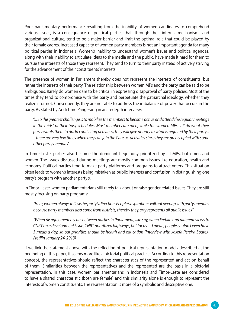Poor parliamentary performance resulting from the inability of women candidates to comprehend various issues, is a consequence of political parties that, through their internal mechanisms and organizational culture, tend to be a major barrier and limit the optimal role that could be played by their female cadres. Increased capacity of women party members is not an important agenda for many political parties in Indonesia. Women's inability to understand women's issues and political agendas, along with their inability to articulate ideas to the media and the public, have made it hard for them to pursue the interests of those they represent. They tend to turn to their party instead of actively striving for the advancement of their constituents' interests.

The presence of women in Parliament thereby does not represent the interests of constituents, but rather the interests of their party. The relationship between women MPs and the party can be said to be ambiguous. Rarely do women dare to be critical in expressing disapproval of party policies. Most of the times they tend to compromise with the party and perpetuate the patriarchal ideology, whether they realize it or not. Consequently, they are not able to address the imbalance of power that occurs in the party. As stated by Andi Timo Pangerang in an in-depth interview:

"... *So the greatest challenge is to mobilize the members to become active and attend the regular meetings in the midst of their busy schedules. Most members are men, while the women MPs still do what their party wants them to do. In conflicting activities, they will give priority to what is required by their party... ...there are very few times when they can join the Caucus' activities since they are preoccupied with some other party agendas*"

In Timor-Leste, parties also become the dominant hegemony prioritized by all MPs, both men and women. The issues discussed during meetings are mostly common issues like education, health and economy. Political parties tend to make party platforms and programs to attract voters. This situation often leads to women's interests being mistaken as public interests and confusion in distinguishing one party's program with another party's.

In Timor-Leste, women parliamentarians still rarely talk about or raise gender related issues. They are still mostly focusing on party programs:

*"Here, women always follow the party's direction. People's aspirations will not overlap with party agendas because party members also come from districts; thereby the party represents all public issues"*

*"When disagreement occurs between parties in Parliament, like say, when Fretilin had different views to CNRT on a development issue, CNRT prioritized highways, but for us .... I mean, people couldn't even have 3 meals a day, so our priorities should be health and education (interview with Josefa Pereira Soares-Fretilin January 24, 2013)*

If we link the statement above with the reflection of political representation models described at the beginning of this paper, it seems more like a pictorial political practice. According to this representation concept, the representatives should reflect the characteristics of the represented and act on behalf of them. Similarities between the representatives and the represented are the basis in a pictorial representation. In this case, women parliamentarians in Indonesia and Timor-Leste are considered to have a shared characteristic (both are female) and this similarity alone is enough to represent the interests of women constituents. The representation is more of a symbolic and descriptive one.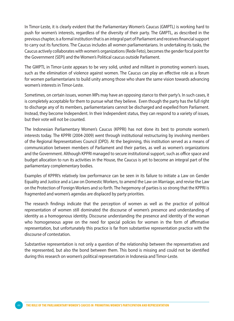In Timor-Leste, it is clearly evident that the Parliamentary Women's Caucus (GMPTL) is working hard to push for women's interests, regardless of the diversity of their party. The GMPTL, as described in the previous chapter, is a formal institution that is an integral part of Parliament and receives financial support to carry out its functions. The Caucus includes all women parliamentarians. In undertaking its tasks, the Caucus actively collaborates with women's organizations (Rede Feto), becomes the gender focal point for the Government (SEPI) and the Women's Political caucus outside Parliament.

The GMPTL in Timor-Leste appears to be very solid, united and militant in promoting women's issues, such as the elimination of violence against women. The Caucus can play an effective role as a forum for women parliamentarians to build unity among those who share the same vision towards advancing women's interests in Timor-Leste.

Sometimes, on certain issues, women MPs may have an opposing stance to their party's. In such cases, it is completely acceptable for them to pursue what they believe. Even though the party has the full right to discharge any of its members, parliamentarians cannot be discharged and expelled from Parliament. Instead, they become Independent. In their Independent status, they can respond to a variety of issues, but their vote will not be counted.

The Indonesian Parliamentary Women's Caucus (KPPRI) has not done its best to promote women's interests today. The KPPRI (2004-2009) went through institutional restructuring by involving members of the Regional Representatives Council (DPD). At the beginning, this institution served as a means of communication between members of Parliament and their parties, as well as women's organizations and the Government. Although KPPRI managed to secure institutional support, such as office space and budget allocation to run its activities in the House, the Caucus is yet to become an integral part of the parliamentary complementary bodies.

Examples of KPPRI's relatively low performance can be seen in its failure to initiate a Law on Gender Equality and Justice and a Law on Domestic Workers, to amend the Law on Marriage, and revise the Law on the Protection of Foreign Workers and so forth. The hegemony of parties is so strong that the KPPRI is fragmented and women's agendas are displaced by party priorities.

The research findings indicate that the perception of women as well as the practice of political representation of women still dominated the discourse of women's presence and understanding of identity as a homogenous identity. Discourse understanding the presence and identity of the woman who homogeneous agree on the need for special policies for women in the form of affirmative representation, but unfortunately this practice is far from substantive representation practice with the discourse of contestation.

Substantive representation is not only a question of the relationship between the representatives and the represented, but also the bond between them. This bond is missing and could not be identified during this research on women's political representation in Indonesia and Timor-Leste.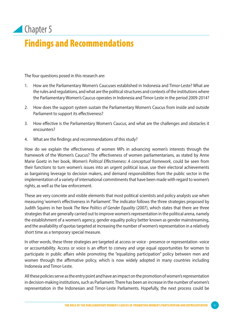## Chapter 5 Findings and Recommendations

The four questions posed in this research are:

- 1. How are the Parliamentary Women's Caucuses established in Indonesia and Timor-Leste? What are the rules and regulations, and what are the political structures and contexts of the institutions where the Parliamentary Women's Caucus operates in Indonesia and Timor-Leste in the period 2009-2014?
- 2. How does the support system sustain the Parliamentary Women's Caucus from inside and outside Parliament to support its effectiveness?
- 3. How effective is the Parliamentary Women's Caucus, and what are the challenges and obstacles it encounters?
- 4. What are the findings and recommendations of this study?

How do we explain the effectiveness of women MPs in advancing women's interests through the framework of the Women's Caucus? The effectiveness of women parliamentarians, as stated by Anne Marie Goetz in her book, *Women's Political Effectiveness: A conceptual framework*, could be seen from their functions to turn women's issues into an urgent political issue, use their electoral achievements as bargaining leverage to decision makers, and demand responsibilities from the public sector in the implementation of a variety of international commitments that have been made with regard to women's rights, as well as the law enforcement.

These are very concrete and visible elements that most political scientists and policy analysts use when measuring 'women's effectiveness in Parliament'. The indicator follows the three strategies proposed by Judith Squires in her book *The New Politics of Gender Equality* (2007), which states that there are three strategies that are generally carried out to improve women's representation in the political arena, namely the establishment of a women's agency, gender equality policy better known as gender mainstreaming, and the availability of quotas targeted at increasing the number of women's representation in a relatively short time as a temporary special measure.

In other words, these three strategies are targeted at access or voice - presence or representation -voice or accountability. Access or voice is an effort to convey and urge equal opportunities for women to participate in public affairs while promoting the "equalizing participation" policy between men and women through the affirmative policy, which is now widely adopted in many countries including Indonesia and Timor-Leste.

All these policies serve as the entry point and have an impact on the promotion of women's representation in decision-making institutions, such as Parliament. There has been an increase in the number of women's representation in the Indonesian and Timor-Leste Parliaments. Hopefully, the next process could be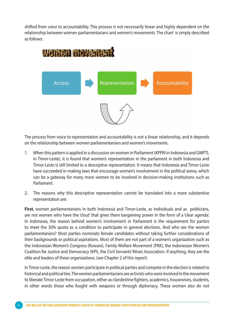shifted from voice to accountability. This process is not necessarily linear and highly dependent on the relationship between women parliamentarians and women's movements. The chart is simply described as follows:



The process from voice to representation and accountability is not a linear relationship, and it depends on the relationship between women parliamentarians and women's movements.

- 1. When this pattern is applied in a discussion on women in Parliament (KPPRI in Indonesia and GMPTL in Timor-Leste), it is found that women's representation in the parliament in both Indonesia and Timor-Leste is still limited to a descriptive representation. It means that Indonesia and Timor-Leste have succeeded in making laws that encourage women's involvement in the political arena, which can be a gateway for many more women to be involved in decision-making institutions such as Parliament.
- 2. The reasons why this descriptive representation cannot be translated into a more substantive representation are:

**First**, women parliamentarians in both Indonesia and Timor-Leste, as individuals and as politicians, are not women who have the 'clout' that gives them bargaining power in the form of a 'clear agenda'. In Indonesia, the reason behind women's involvement in Parliament is the requirement for parties to meet the 30% quota as a condition to participate in general elections. And who are the women parliamentarians? Most parties nominate female candidates without taking further considerations of their backgrounds or political aspirations. Most of them are not part of a women's organization such as the Indonesian Women's Congress (Kowani), Family Welfare Movement (PKK), the Indonesian Women's Coalition for Justice and Democracy (KPI), the Civil Servants' Wives Association. If anything, they are the elite and leaders of these organizations. (see Chapter 2 of this report)

In Timor-Leste, the reason women participate in political parties and compete in the election is related to historical and political ties. The women parliamentarians are activists who were involved in the movement to liberate Timor-Leste from occupation, either as clandestine fighters, academics, housewives, students, in other words those who fought with weapons or through diplomacy. These women also do not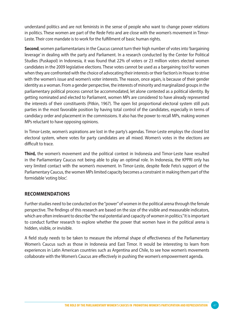understand politics and are not feminists in the sense of people who want to change power relations in politics. These women are part of the Rede Feto and are close with the women's movement in Timor-Leste. Their core mandate is to work for the fulfillment of basic human rights.

**Second**, women parliamentarians in the Caucus cannot turn their high number of votes into 'bargaining leverage' in dealing with the party and Parliament. In a research conducted by the Center for Political Studies (Puskapol) in Indonesia, it was found that 22% of voters or 23 million voters elected women candidates in the 2009 legislative elections. These votes cannot be used as a bargaining tool for women when they are confronted with the choice of advocating their interests or their faction's in House to strive with the women's issue and women's voter interests. The reason, once again, is because of their gender identity as a woman. From a gender perspective, the interests of minority and marginalized groups in the parliamentary political process cannot be accommodated, let alone contested as a political identity. By getting nominated and elected to Parliament, women MPs are considered to have already represented the interests of their constituents (Pitkin, 1967). The open list proportional electoral system still puts parties in the most favorable position by having total control of the candidates, especially in terms of candidacy order and placement in the commissions. It also has the power to recall MPs, making women MPs reluctant to have opposing opinions.

In Timor-Leste, women's aspirations are lost in the party's agendas. Timor-Leste employs the closed list electoral system, where votes for party candidates are all mixed. Women's votes in the elections are difficult to trace.

**Third,** the women's movement and the political context in Indonesia and Timor-Leste have resulted in the Parliamentary Caucus not being able to play an optimal role. In Indonesia, the KPPRI only has very limited contact with the women's movement. In Timor-Leste, despite Rede Feto's support of the Parliamentary Caucus, the women MPs limited capacity becomes a constraint in making them part of the formidable 'voting bloc'.

#### **Recommendations**

Further studies need to be conducted on the "power" of women in the political arena through the female perspective. The findings of this research are based on the size of the visible and measurable indicators, which are often irrelevant to describe "the real potential and capacity of women in politics." It is important to conduct further research to explore whether the power that women have in the political arena is hidden, visible, or invisible.

A field study needs to be taken to measure the informal shape of effectiveness of the Parliamentary Women's Caucus such as those in Indonesia and East Timor. It would be interesting to learn from experiences in Latin American countries such as Argentina and Chile, to see how women's movements collaborate with the Women's Caucus are effectively in pushing the women's empowerment agenda.